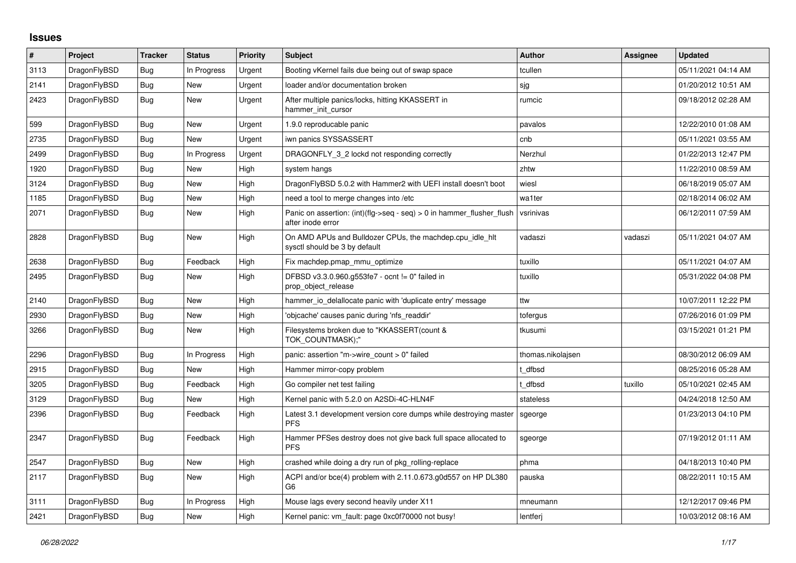## **Issues**

| #    | <b>Project</b> | <b>Tracker</b> | <b>Status</b> | <b>Priority</b> | <b>Subject</b>                                                                                | <b>Author</b>     | Assignee | <b>Updated</b>      |
|------|----------------|----------------|---------------|-----------------|-----------------------------------------------------------------------------------------------|-------------------|----------|---------------------|
| 3113 | DragonFlyBSD   | <b>Bug</b>     | In Progress   | Urgent          | Booting vKernel fails due being out of swap space                                             | tcullen           |          | 05/11/2021 04:14 AM |
| 2141 | DragonFlyBSD   | Bug            | <b>New</b>    | Urgent          | loader and/or documentation broken                                                            | sjg               |          | 01/20/2012 10:51 AM |
| 2423 | DragonFlyBSD   | <b>Bug</b>     | New           | Urgent          | After multiple panics/locks, hitting KKASSERT in<br>hammer init cursor                        | rumcic            |          | 09/18/2012 02:28 AM |
| 599  | DragonFlyBSD   | <b>Bug</b>     | New           | Urgent          | 1.9.0 reproducable panic                                                                      | pavalos           |          | 12/22/2010 01:08 AM |
| 2735 | DragonFlyBSD   | Bug            | New           | Urgent          | iwn panics SYSSASSERT                                                                         | cnb               |          | 05/11/2021 03:55 AM |
| 2499 | DragonFlyBSD   | <b>Bug</b>     | In Progress   | Urgent          | DRAGONFLY 3 2 lockd not responding correctly                                                  | Nerzhul           |          | 01/22/2013 12:47 PM |
| 1920 | DragonFlyBSD   | Bug            | New           | High            | system hangs                                                                                  | zhtw              |          | 11/22/2010 08:59 AM |
| 3124 | DragonFlyBSD   | Bug            | New           | High            | DragonFlyBSD 5.0.2 with Hammer2 with UEFI install doesn't boot                                | wiesl             |          | 06/18/2019 05:07 AM |
| 1185 | DragonFlyBSD   | Bug            | <b>New</b>    | High            | need a tool to merge changes into /etc                                                        | wa1ter            |          | 02/18/2014 06:02 AM |
| 2071 | DragonFlyBSD   | <b>Bug</b>     | New           | High            | Panic on assertion: $(int)(flag->seq - seq) > 0$ in hammer flusher flush<br>after inode error | vsrinivas         |          | 06/12/2011 07:59 AM |
| 2828 | DragonFlyBSD   | Bug            | <b>New</b>    | High            | On AMD APUs and Bulldozer CPUs, the machdep.cpu_idle_hlt<br>sysctl should be 3 by default     | vadaszi           | vadaszi  | 05/11/2021 04:07 AM |
| 2638 | DragonFlyBSD   | <b>Bug</b>     | Feedback      | High            | Fix machdep.pmap_mmu_optimize                                                                 | tuxillo           |          | 05/11/2021 04:07 AM |
| 2495 | DragonFlyBSD   | <b>Bug</b>     | New           | High            | DFBSD v3.3.0.960.g553fe7 - ocnt != 0" failed in<br>prop_object_release                        | tuxillo           |          | 05/31/2022 04:08 PM |
| 2140 | DragonFlyBSD   | Bug            | <b>New</b>    | High            | hammer io delallocate panic with 'duplicate entry' message                                    | ttw               |          | 10/07/2011 12:22 PM |
| 2930 | DragonFlyBSD   | Bug            | New           | High            | 'objcache' causes panic during 'nfs_readdir'                                                  | tofergus          |          | 07/26/2016 01:09 PM |
| 3266 | DragonFlyBSD   | <b>Bug</b>     | New           | High            | Filesystems broken due to "KKASSERT(count &<br>TOK COUNTMASK);"                               | tkusumi           |          | 03/15/2021 01:21 PM |
| 2296 | DragonFlyBSD   | Bug            | In Progress   | High            | panic: assertion "m->wire count > 0" failed                                                   | thomas.nikolajsen |          | 08/30/2012 06:09 AM |
| 2915 | DragonFlyBSD   | Bug            | New           | High            | Hammer mirror-copy problem                                                                    | t dfbsd           |          | 08/25/2016 05:28 AM |
| 3205 | DragonFlyBSD   | <b>Bug</b>     | Feedback      | High            | Go compiler net test failing                                                                  | t dfbsd           | tuxillo  | 05/10/2021 02:45 AM |
| 3129 | DragonFlyBSD   | <b>Bug</b>     | New           | High            | Kernel panic with 5.2.0 on A2SDi-4C-HLN4F                                                     | stateless         |          | 04/24/2018 12:50 AM |
| 2396 | DragonFlyBSD   | Bug            | Feedback      | High            | Latest 3.1 development version core dumps while destroying master<br><b>PFS</b>               | sgeorge           |          | 01/23/2013 04:10 PM |
| 2347 | DragonFlyBSD   | <b>Bug</b>     | Feedback      | High            | Hammer PFSes destroy does not give back full space allocated to<br><b>PFS</b>                 | sgeorge           |          | 07/19/2012 01:11 AM |
| 2547 | DragonFlyBSD   | <b>Bug</b>     | <b>New</b>    | High            | crashed while doing a dry run of pkg_rolling-replace                                          | phma              |          | 04/18/2013 10:40 PM |
| 2117 | DragonFlyBSD   | Bug            | New           | High            | ACPI and/or bce(4) problem with 2.11.0.673.g0d557 on HP DL380<br>G6                           | pauska            |          | 08/22/2011 10:15 AM |
| 3111 | DragonFlyBSD   | <b>Bug</b>     | In Progress   | High            | Mouse lags every second heavily under X11                                                     | mneumann          |          | 12/12/2017 09:46 PM |
| 2421 | DragonFlyBSD   | Bug            | New           | High            | Kernel panic: vm_fault: page 0xc0f70000 not busy!                                             | lentferj          |          | 10/03/2012 08:16 AM |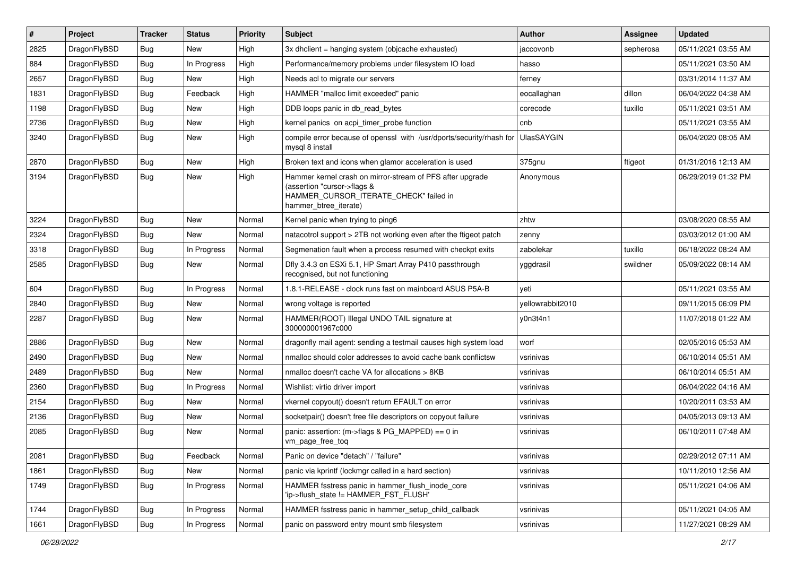| $\vert$ # | Project      | <b>Tracker</b> | <b>Status</b> | <b>Priority</b> | Subject                                                                                                                                                     | <b>Author</b>    | <b>Assignee</b> | <b>Updated</b>      |
|-----------|--------------|----------------|---------------|-----------------|-------------------------------------------------------------------------------------------------------------------------------------------------------------|------------------|-----------------|---------------------|
| 2825      | DragonFlyBSD | <b>Bug</b>     | New           | High            | 3x dhclient = hanging system (objcache exhausted)                                                                                                           | iaccovonb        | sepherosa       | 05/11/2021 03:55 AM |
| 884       | DragonFlyBSD | Bug            | In Progress   | High            | Performance/memory problems under filesystem IO load                                                                                                        | hasso            |                 | 05/11/2021 03:50 AM |
| 2657      | DragonFlyBSD | <b>Bug</b>     | New           | High            | Needs acl to migrate our servers                                                                                                                            | ferney           |                 | 03/31/2014 11:37 AM |
| 1831      | DragonFlyBSD | <b>Bug</b>     | Feedback      | High            | HAMMER "malloc limit exceeded" panic                                                                                                                        | eocallaghan      | dillon          | 06/04/2022 04:38 AM |
| 1198      | DragonFlyBSD | <b>Bug</b>     | <b>New</b>    | High            | DDB loops panic in db_read_bytes                                                                                                                            | corecode         | tuxillo         | 05/11/2021 03:51 AM |
| 2736      | DragonFlyBSD | <b>Bug</b>     | <b>New</b>    | High            | kernel panics on acpi_timer_probe function                                                                                                                  | cnb              |                 | 05/11/2021 03:55 AM |
| 3240      | DragonFlyBSD | Bug            | New           | High            | compile error because of openssl with /usr/dports/security/rhash for UlasSAYGIN<br>mysql 8 install                                                          |                  |                 | 06/04/2020 08:05 AM |
| 2870      | DragonFlyBSD | <b>Bug</b>     | <b>New</b>    | High            | Broken text and icons when glamor acceleration is used                                                                                                      | 375gnu           | ftigeot         | 01/31/2016 12:13 AM |
| 3194      | DragonFlyBSD | <b>Bug</b>     | <b>New</b>    | High            | Hammer kernel crash on mirror-stream of PFS after upgrade<br>(assertion "cursor->flags &<br>HAMMER_CURSOR_ITERATE_CHECK" failed in<br>hammer_btree_iterate) | Anonymous        |                 | 06/29/2019 01:32 PM |
| 3224      | DragonFlyBSD | <b>Bug</b>     | <b>New</b>    | Normal          | Kernel panic when trying to ping6                                                                                                                           | zhtw             |                 | 03/08/2020 08:55 AM |
| 2324      | DragonFlyBSD | <b>Bug</b>     | <b>New</b>    | Normal          | natacotrol support > 2TB not working even after the ftigeot patch                                                                                           | zenny            |                 | 03/03/2012 01:00 AM |
| 3318      | DragonFlyBSD | Bug            | In Progress   | Normal          | Segmenation fault when a process resumed with checkpt exits                                                                                                 | zabolekar        | tuxillo         | 06/18/2022 08:24 AM |
| 2585      | DragonFlyBSD | <b>Bug</b>     | New           | Normal          | Dfly 3.4.3 on ESXi 5.1, HP Smart Array P410 passthrough<br>recognised, but not functioning                                                                  | yggdrasil        | swildner        | 05/09/2022 08:14 AM |
| 604       | DragonFlyBSD | <b>Bug</b>     | In Progress   | Normal          | 1.8.1-RELEASE - clock runs fast on mainboard ASUS P5A-B                                                                                                     | veti             |                 | 05/11/2021 03:55 AM |
| 2840      | DragonFlyBSD | Bug            | <b>New</b>    | Normal          | wrong voltage is reported                                                                                                                                   | yellowrabbit2010 |                 | 09/11/2015 06:09 PM |
| 2287      | DragonFlyBSD | Bug            | New           | Normal          | HAMMER(ROOT) Illegal UNDO TAIL signature at<br>300000001967c000                                                                                             | y0n3t4n1         |                 | 11/07/2018 01:22 AM |
| 2886      | DragonFlyBSD | Bug            | <b>New</b>    | Normal          | dragonfly mail agent: sending a testmail causes high system load                                                                                            | worf             |                 | 02/05/2016 05:53 AM |
| 2490      | DragonFlyBSD | <b>Bug</b>     | <b>New</b>    | Normal          | nmalloc should color addresses to avoid cache bank conflictsw                                                                                               | vsrinivas        |                 | 06/10/2014 05:51 AM |
| 2489      | DragonFlyBSD | <b>Bug</b>     | New           | Normal          | nmalloc doesn't cache VA for allocations > 8KB                                                                                                              | vsrinivas        |                 | 06/10/2014 05:51 AM |
| 2360      | DragonFlyBSD | Bug            | In Progress   | Normal          | Wishlist: virtio driver import                                                                                                                              | vsrinivas        |                 | 06/04/2022 04:16 AM |
| 2154      | DragonFlyBSD | Bug            | New           | Normal          | vkernel copyout() doesn't return EFAULT on error                                                                                                            | vsrinivas        |                 | 10/20/2011 03:53 AM |
| 2136      | DragonFlyBSD | Bug            | New           | Normal          | socketpair() doesn't free file descriptors on copyout failure                                                                                               | vsrinivas        |                 | 04/05/2013 09:13 AM |
| 2085      | DragonFlyBSD | Bug            | <b>New</b>    | Normal          | panic: assertion: (m->flags & PG_MAPPED) == 0 in<br>vm_page_free_toq                                                                                        | vsrinivas        |                 | 06/10/2011 07:48 AM |
| 2081      | DragonFlyBSD | <b>Bug</b>     | Feedback      | Normal          | Panic on device "detach" / "failure"                                                                                                                        | vsrinivas        |                 | 02/29/2012 07:11 AM |
| 1861      | DragonFlyBSD | <b>Bug</b>     | New           | Normal          | panic via kprintf (lockmgr called in a hard section)                                                                                                        | vsrinivas        |                 | 10/11/2010 12:56 AM |
| 1749      | DragonFlyBSD | <b>Bug</b>     | In Progress   | Normal          | HAMMER fsstress panic in hammer flush inode core<br>'ip->flush_state != HAMMER_FST_FLUSH'                                                                   | vsrinivas        |                 | 05/11/2021 04:06 AM |
| 1744      | DragonFlyBSD | <b>Bug</b>     | In Progress   | Normal          | HAMMER fsstress panic in hammer_setup_child_callback                                                                                                        | vsrinivas        |                 | 05/11/2021 04:05 AM |
| 1661      | DragonFlyBSD | <b>Bug</b>     | In Progress   | Normal          | panic on password entry mount smb filesystem                                                                                                                | vsrinivas        |                 | 11/27/2021 08:29 AM |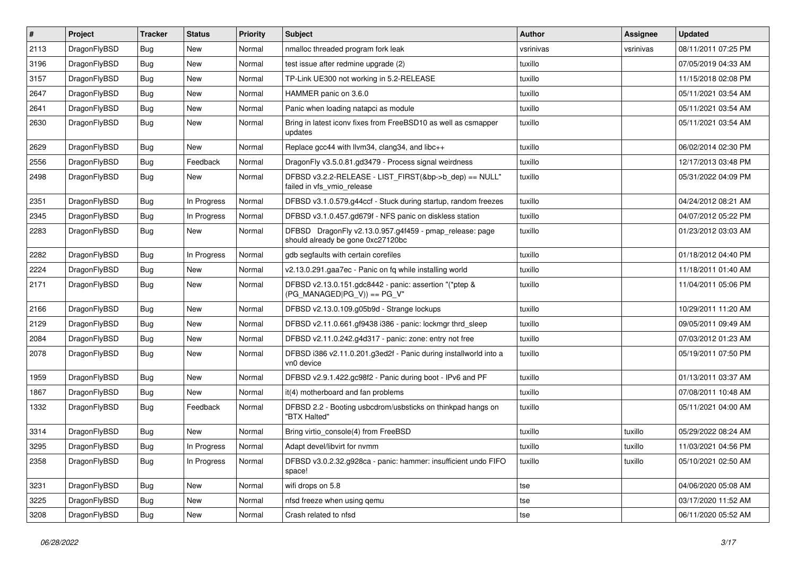| #    | Project      | <b>Tracker</b> | <b>Status</b> | <b>Priority</b> | <b>Subject</b>                                                                               | <b>Author</b> | Assignee  | <b>Updated</b>      |
|------|--------------|----------------|---------------|-----------------|----------------------------------------------------------------------------------------------|---------------|-----------|---------------------|
| 2113 | DragonFlyBSD | Bug            | <b>New</b>    | Normal          | nmalloc threaded program fork leak                                                           | vsrinivas     | vsrinivas | 08/11/2011 07:25 PM |
| 3196 | DragonFlyBSD | Bug            | <b>New</b>    | Normal          | test issue after redmine upgrade (2)                                                         | tuxillo       |           | 07/05/2019 04:33 AM |
| 3157 | DragonFlyBSD | <b>Bug</b>     | New           | Normal          | TP-Link UE300 not working in 5.2-RELEASE                                                     | tuxillo       |           | 11/15/2018 02:08 PM |
| 2647 | DragonFlyBSD | Bug            | <b>New</b>    | Normal          | HAMMER panic on 3.6.0                                                                        | tuxillo       |           | 05/11/2021 03:54 AM |
| 2641 | DragonFlyBSD | <b>Bug</b>     | <b>New</b>    | Normal          | Panic when loading natapci as module                                                         | tuxillo       |           | 05/11/2021 03:54 AM |
| 2630 | DragonFlyBSD | Bug            | New           | Normal          | Bring in latest iconv fixes from FreeBSD10 as well as csmapper<br>updates                    | tuxillo       |           | 05/11/2021 03:54 AM |
| 2629 | DragonFlyBSD | <b>Bug</b>     | <b>New</b>    | Normal          | Replace gcc44 with llvm34, clang34, and libc++                                               | tuxillo       |           | 06/02/2014 02:30 PM |
| 2556 | DragonFlyBSD | Bug            | Feedback      | Normal          | DragonFly v3.5.0.81.gd3479 - Process signal weirdness                                        | tuxillo       |           | 12/17/2013 03:48 PM |
| 2498 | DragonFlyBSD | Bug            | New           | Normal          | DFBSD v3.2.2-RELEASE - LIST_FIRST(&bp->b_dep) == NULL"<br>failed in vfs_vmio_release         | tuxillo       |           | 05/31/2022 04:09 PM |
| 2351 | DragonFlyBSD | Bug            | In Progress   | Normal          | DFBSD v3.1.0.579.g44ccf - Stuck during startup, random freezes                               | tuxillo       |           | 04/24/2012 08:21 AM |
| 2345 | DragonFlyBSD | <b>Bug</b>     | In Progress   | Normal          | DFBSD v3.1.0.457.gd679f - NFS panic on diskless station                                      | tuxillo       |           | 04/07/2012 05:22 PM |
| 2283 | DragonFlyBSD | Bug            | New           | Normal          | DFBSD DragonFly v2.13.0.957.g4f459 - pmap_release: page<br>should already be gone 0xc27120bc | tuxillo       |           | 01/23/2012 03:03 AM |
| 2282 | DragonFlyBSD | Bug            | In Progress   | Normal          | gdb segfaults with certain corefiles                                                         | tuxillo       |           | 01/18/2012 04:40 PM |
| 2224 | DragonFlyBSD | <b>Bug</b>     | <b>New</b>    | Normal          | v2.13.0.291.gaa7ec - Panic on fq while installing world                                      | tuxillo       |           | 11/18/2011 01:40 AM |
| 2171 | DragonFlyBSD | Bug            | <b>New</b>    | Normal          | DFBSD v2.13.0.151.gdc8442 - panic: assertion "(*ptep &<br>$(PG$ MANAGED PG_V)) == PG_V"      | tuxillo       |           | 11/04/2011 05:06 PM |
| 2166 | DragonFlyBSD | Bug            | <b>New</b>    | Normal          | DFBSD v2.13.0.109.g05b9d - Strange lockups                                                   | tuxillo       |           | 10/29/2011 11:20 AM |
| 2129 | DragonFlyBSD | <b>Bug</b>     | <b>New</b>    | Normal          | DFBSD v2.11.0.661.gf9438 i386 - panic: lockmgr thrd_sleep                                    | tuxillo       |           | 09/05/2011 09:49 AM |
| 2084 | DragonFlyBSD | <b>Bug</b>     | <b>New</b>    | Normal          | DFBSD v2.11.0.242.g4d317 - panic: zone: entry not free                                       | tuxillo       |           | 07/03/2012 01:23 AM |
| 2078 | DragonFlyBSD | Bug            | New           | Normal          | DFBSD i386 v2.11.0.201.g3ed2f - Panic during installworld into a<br>vn0 device               | tuxillo       |           | 05/19/2011 07:50 PM |
| 1959 | DragonFlyBSD | Bug            | <b>New</b>    | Normal          | DFBSD v2.9.1.422.gc98f2 - Panic during boot - IPv6 and PF                                    | tuxillo       |           | 01/13/2011 03:37 AM |
| 1867 | DragonFlyBSD | Bug            | New           | Normal          | it(4) motherboard and fan problems                                                           | tuxillo       |           | 07/08/2011 10:48 AM |
| 1332 | DragonFlyBSD | Bug            | Feedback      | Normal          | DFBSD 2.2 - Booting usbcdrom/usbsticks on thinkpad hangs on<br>"BTX Halted"                  | tuxillo       |           | 05/11/2021 04:00 AM |
| 3314 | DragonFlyBSD | <b>Bug</b>     | <b>New</b>    | Normal          | Bring virtio_console(4) from FreeBSD                                                         | tuxillo       | tuxillo   | 05/29/2022 08:24 AM |
| 3295 | DragonFlyBSD | Bug            | In Progress   | Normal          | Adapt devel/libvirt for nvmm                                                                 | tuxillo       | tuxillo   | 11/03/2021 04:56 PM |
| 2358 | DragonFlyBSD | Bug            | In Progress   | Normal          | DFBSD v3.0.2.32.g928ca - panic: hammer: insufficient undo FIFO<br>space!                     | tuxillo       | tuxillo   | 05/10/2021 02:50 AM |
| 3231 | DragonFlyBSD | Bug            | New           | Normal          | wifi drops on 5.8                                                                            | tse           |           | 04/06/2020 05:08 AM |
| 3225 | DragonFlyBSD | <b>Bug</b>     | New           | Normal          | nfsd freeze when using qemu                                                                  | tse           |           | 03/17/2020 11:52 AM |
| 3208 | DragonFlyBSD | <b>Bug</b>     | New           | Normal          | Crash related to nfsd                                                                        | tse           |           | 06/11/2020 05:52 AM |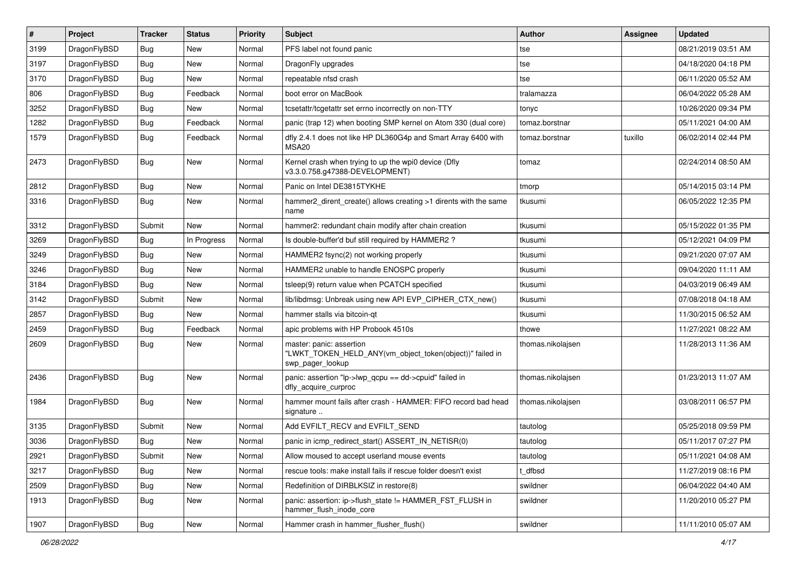| $\vert$ # | Project      | <b>Tracker</b> | <b>Status</b> | <b>Priority</b> | <b>Subject</b>                                                                                           | <b>Author</b>     | Assignee | <b>Updated</b>      |
|-----------|--------------|----------------|---------------|-----------------|----------------------------------------------------------------------------------------------------------|-------------------|----------|---------------------|
| 3199      | DragonFlyBSD | <b>Bug</b>     | New           | Normal          | PFS label not found panic                                                                                | tse               |          | 08/21/2019 03:51 AM |
| 3197      | DragonFlyBSD | <b>Bug</b>     | <b>New</b>    | Normal          | DragonFly upgrades                                                                                       | tse               |          | 04/18/2020 04:18 PM |
| 3170      | DragonFlyBSD | <b>Bug</b>     | New           | Normal          | repeatable nfsd crash                                                                                    | tse               |          | 06/11/2020 05:52 AM |
| 806       | DragonFlyBSD | <b>Bug</b>     | Feedback      | Normal          | boot error on MacBook                                                                                    | tralamazza        |          | 06/04/2022 05:28 AM |
| 3252      | DragonFlyBSD | <b>Bug</b>     | <b>New</b>    | Normal          | tcsetattr/tcgetattr set errno incorrectly on non-TTY                                                     | tonyc             |          | 10/26/2020 09:34 PM |
| 1282      | DragonFlyBSD | <b>Bug</b>     | Feedback      | Normal          | panic (trap 12) when booting SMP kernel on Atom 330 (dual core)                                          | tomaz.borstnar    |          | 05/11/2021 04:00 AM |
| 1579      | DragonFlyBSD | Bug            | Feedback      | Normal          | dfly 2.4.1 does not like HP DL360G4p and Smart Array 6400 with<br>MSA <sub>20</sub>                      | tomaz.borstnar    | tuxillo  | 06/02/2014 02:44 PM |
| 2473      | DragonFlyBSD | Bug            | New           | Normal          | Kernel crash when trying to up the wpi0 device (Dfly<br>v3.3.0.758.g47388-DEVELOPMENT)                   | tomaz             |          | 02/24/2014 08:50 AM |
| 2812      | DragonFlyBSD | <b>Bug</b>     | New           | Normal          | Panic on Intel DE3815TYKHE                                                                               | tmorp             |          | 05/14/2015 03:14 PM |
| 3316      | DragonFlyBSD | Bug            | New           | Normal          | hammer2_dirent_create() allows creating >1 dirents with the same<br>name                                 | tkusumi           |          | 06/05/2022 12:35 PM |
| 3312      | DragonFlyBSD | Submit         | <b>New</b>    | Normal          | hammer2: redundant chain modify after chain creation                                                     | tkusumi           |          | 05/15/2022 01:35 PM |
| 3269      | DragonFlyBSD | Bug            | In Progress   | Normal          | Is double-buffer'd buf still required by HAMMER2?                                                        | tkusumi           |          | 05/12/2021 04:09 PM |
| 3249      | DragonFlyBSD | <b>Bug</b>     | <b>New</b>    | Normal          | HAMMER2 fsync(2) not working properly                                                                    | tkusumi           |          | 09/21/2020 07:07 AM |
| 3246      | DragonFlyBSD | <b>Bug</b>     | New           | Normal          | HAMMER2 unable to handle ENOSPC properly                                                                 | tkusumi           |          | 09/04/2020 11:11 AM |
| 3184      | DragonFlyBSD | Bug            | New           | Normal          | tsleep(9) return value when PCATCH specified                                                             | tkusumi           |          | 04/03/2019 06:49 AM |
| 3142      | DragonFlyBSD | Submit         | New           | Normal          | lib/libdmsg: Unbreak using new API EVP_CIPHER_CTX_new()                                                  | tkusumi           |          | 07/08/2018 04:18 AM |
| 2857      | DragonFlyBSD | <b>Bug</b>     | New           | Normal          | hammer stalls via bitcoin-qt                                                                             | tkusumi           |          | 11/30/2015 06:52 AM |
| 2459      | DragonFlyBSD | Bug            | Feedback      | Normal          | apic problems with HP Probook 4510s                                                                      | thowe             |          | 11/27/2021 08:22 AM |
| 2609      | DragonFlyBSD | <b>Bug</b>     | New           | Normal          | master: panic: assertion<br>"LWKT_TOKEN_HELD_ANY(vm_object_token(object))" failed in<br>swp_pager_lookup | thomas.nikolajsen |          | 11/28/2013 11:36 AM |
| 2436      | DragonFlyBSD | Bug            | New           | Normal          | panic: assertion "lp->lwp_qcpu == dd->cpuid" failed in<br>dfly_acquire_curproc                           | thomas.nikolajsen |          | 01/23/2013 11:07 AM |
| 1984      | DragonFlyBSD | <b>Bug</b>     | New           | Normal          | hammer mount fails after crash - HAMMER: FIFO record bad head<br>signature                               | thomas.nikolajsen |          | 03/08/2011 06:57 PM |
| 3135      | DragonFlyBSD | Submit         | <b>New</b>    | Normal          | Add EVFILT_RECV and EVFILT_SEND                                                                          | tautolog          |          | 05/25/2018 09:59 PM |
| 3036      | DragonFlyBSD | <b>Bug</b>     | New           | Normal          | panic in icmp redirect start() ASSERT IN NETISR(0)                                                       | tautolog          |          | 05/11/2017 07:27 PM |
| 2921      | DragonFlyBSD | Submit         | New           | Normal          | Allow moused to accept userland mouse events                                                             | tautolog          |          | 05/11/2021 04:08 AM |
| 3217      | DragonFlyBSD | Bug            | New           | Normal          | rescue tools: make install fails if rescue folder doesn't exist                                          | t_dfbsd           |          | 11/27/2019 08:16 PM |
| 2509      | DragonFlyBSD | Bug            | New           | Normal          | Redefinition of DIRBLKSIZ in restore(8)                                                                  | swildner          |          | 06/04/2022 04:40 AM |
| 1913      | DragonFlyBSD | <b>Bug</b>     | New           | Normal          | panic: assertion: ip->flush state != HAMMER FST FLUSH in<br>hammer_flush_inode_core                      | swildner          |          | 11/20/2010 05:27 PM |
| 1907      | DragonFlyBSD | Bug            | New           | Normal          | Hammer crash in hammer_flusher_flush()                                                                   | swildner          |          | 11/11/2010 05:07 AM |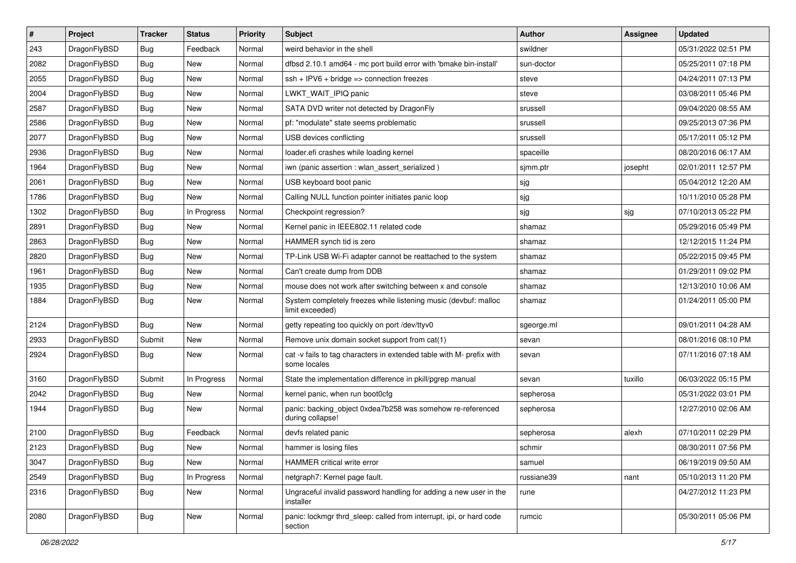| $\sharp$ | Project      | <b>Tracker</b> | <b>Status</b> | <b>Priority</b> | <b>Subject</b>                                                                       | <b>Author</b> | Assignee | <b>Updated</b>      |
|----------|--------------|----------------|---------------|-----------------|--------------------------------------------------------------------------------------|---------------|----------|---------------------|
| 243      | DragonFlyBSD | Bug            | Feedback      | Normal          | weird behavior in the shell                                                          | swildner      |          | 05/31/2022 02:51 PM |
| 2082     | DragonFlyBSD | Bug            | <b>New</b>    | Normal          | dfbsd 2.10.1 amd64 - mc port build error with 'bmake bin-install'                    | sun-doctor    |          | 05/25/2011 07:18 PM |
| 2055     | DragonFlyBSD | Bug            | <b>New</b>    | Normal          | $ssh + IPV6 + bridge \Rightarrow connection freezes$                                 | steve         |          | 04/24/2011 07:13 PM |
| 2004     | DragonFlyBSD | Bug            | New           | Normal          | LWKT_WAIT_IPIQ panic                                                                 | steve         |          | 03/08/2011 05:46 PM |
| 2587     | DragonFlyBSD | Bug            | <b>New</b>    | Normal          | SATA DVD writer not detected by DragonFly                                            | srussell      |          | 09/04/2020 08:55 AM |
| 2586     | DragonFlyBSD | <b>Bug</b>     | New           | Normal          | pf: "modulate" state seems problematic                                               | srussell      |          | 09/25/2013 07:36 PM |
| 2077     | DragonFlyBSD | Bug            | New           | Normal          | USB devices conflicting                                                              | srussell      |          | 05/17/2011 05:12 PM |
| 2936     | DragonFlyBSD | Bug            | <b>New</b>    | Normal          | loader.efi crashes while loading kernel                                              | spaceille     |          | 08/20/2016 06:17 AM |
| 1964     | DragonFlyBSD | Bug            | New           | Normal          | iwn (panic assertion : wlan_assert_serialized)                                       | sjmm.ptr      | josepht  | 02/01/2011 12:57 PM |
| 2061     | DragonFlyBSD | Bug            | <b>New</b>    | Normal          | USB keyboard boot panic                                                              | sjg           |          | 05/04/2012 12:20 AM |
| 1786     | DragonFlyBSD | Bug            | <b>New</b>    | Normal          | Calling NULL function pointer initiates panic loop                                   | sjg           |          | 10/11/2010 05:28 PM |
| 1302     | DragonFlyBSD | Bug            | In Progress   | Normal          | Checkpoint regression?                                                               | sjg           | sjg      | 07/10/2013 05:22 PM |
| 2891     | DragonFlyBSD | Bug            | New           | Normal          | Kernel panic in IEEE802.11 related code                                              | shamaz        |          | 05/29/2016 05:49 PM |
| 2863     | DragonFlyBSD | <b>Bug</b>     | <b>New</b>    | Normal          | HAMMER synch tid is zero                                                             | shamaz        |          | 12/12/2015 11:24 PM |
| 2820     | DragonFlyBSD | Bug            | <b>New</b>    | Normal          | TP-Link USB Wi-Fi adapter cannot be reattached to the system                         | shamaz        |          | 05/22/2015 09:45 PM |
| 1961     | DragonFlyBSD | <b>Bug</b>     | <b>New</b>    | Normal          | Can't create dump from DDB                                                           | shamaz        |          | 01/29/2011 09:02 PM |
| 1935     | DragonFlyBSD | <b>Bug</b>     | New           | Normal          | mouse does not work after switching between x and console                            | shamaz        |          | 12/13/2010 10:06 AM |
| 1884     | DragonFlyBSD | Bug            | <b>New</b>    | Normal          | System completely freezes while listening music (devbuf: malloc<br>limit exceeded)   | shamaz        |          | 01/24/2011 05:00 PM |
| 2124     | DragonFlyBSD | Bug            | <b>New</b>    | Normal          | getty repeating too quickly on port /dev/ttyv0                                       | sgeorge.ml    |          | 09/01/2011 04:28 AM |
| 2933     | DragonFlyBSD | Submit         | New           | Normal          | Remove unix domain socket support from cat(1)                                        | sevan         |          | 08/01/2016 08:10 PM |
| 2924     | DragonFlyBSD | <b>Bug</b>     | <b>New</b>    | Normal          | cat -v fails to tag characters in extended table with M- prefix with<br>some locales | sevan         |          | 07/11/2016 07:18 AM |
| 3160     | DragonFlyBSD | Submit         | In Progress   | Normal          | State the implementation difference in pkill/pgrep manual                            | sevan         | tuxillo  | 06/03/2022 05:15 PM |
| 2042     | DragonFlyBSD | <b>Bug</b>     | New           | Normal          | kernel panic, when run boot0cfg                                                      | sepherosa     |          | 05/31/2022 03:01 PM |
| 1944     | DragonFlyBSD | Bug            | New           | Normal          | panic: backing_object 0xdea7b258 was somehow re-referenced<br>during collapse!       | sepherosa     |          | 12/27/2010 02:06 AM |
| 2100     | DragonFlyBSD | Bug            | Feedback      | Normal          | devfs related panic                                                                  | sepherosa     | alexh    | 07/10/2011 02:29 PM |
| 2123     | DragonFlyBSD | Bug            | New           | Normal          | hammer is losing files                                                               | schmir        |          | 08/30/2011 07:56 PM |
| 3047     | DragonFlyBSD | Bug            | New           | Normal          | HAMMER critical write error                                                          | samuel        |          | 06/19/2019 09:50 AM |
| 2549     | DragonFlyBSD | <b>Bug</b>     | In Progress   | Normal          | netgraph7: Kernel page fault.                                                        | russiane39    | nant     | 05/10/2013 11:20 PM |
| 2316     | DragonFlyBSD | <b>Bug</b>     | New           | Normal          | Ungraceful invalid password handling for adding a new user in the<br>installer       | rune          |          | 04/27/2012 11:23 PM |
| 2080     | DragonFlyBSD | <b>Bug</b>     | <b>New</b>    | Normal          | panic: lockmgr thrd_sleep: called from interrupt, ipi, or hard code<br>section       | rumcic        |          | 05/30/2011 05:06 PM |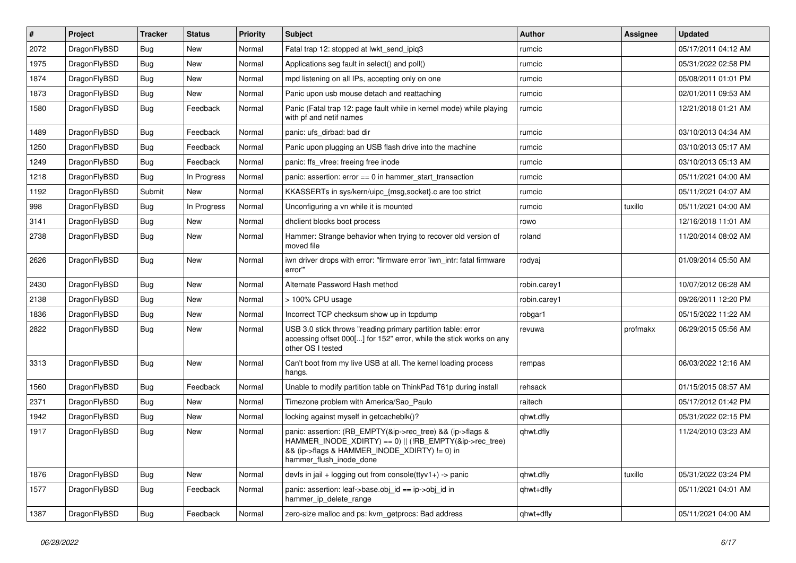| #    | <b>Project</b> | <b>Tracker</b> | <b>Status</b> | <b>Priority</b> | <b>Subject</b>                                                                                                                                                                                    | <b>Author</b> | Assignee | <b>Updated</b>      |
|------|----------------|----------------|---------------|-----------------|---------------------------------------------------------------------------------------------------------------------------------------------------------------------------------------------------|---------------|----------|---------------------|
| 2072 | DragonFlyBSD   | Bug            | <b>New</b>    | Normal          | Fatal trap 12: stopped at lwkt send ipig3                                                                                                                                                         | rumcic        |          | 05/17/2011 04:12 AM |
| 1975 | DragonFlyBSD   | Bug            | New           | Normal          | Applications seg fault in select() and poll()                                                                                                                                                     | rumcic        |          | 05/31/2022 02:58 PM |
| 1874 | DragonFlyBSD   | <b>Bug</b>     | <b>New</b>    | Normal          | mpd listening on all IPs, accepting only on one                                                                                                                                                   | rumcic        |          | 05/08/2011 01:01 PM |
| 1873 | DragonFlyBSD   | Bug            | New           | Normal          | Panic upon usb mouse detach and reattaching                                                                                                                                                       | rumcic        |          | 02/01/2011 09:53 AM |
| 1580 | DragonFlyBSD   | <b>Bug</b>     | Feedback      | Normal          | Panic (Fatal trap 12: page fault while in kernel mode) while playing<br>with pf and netif names                                                                                                   | rumcic        |          | 12/21/2018 01:21 AM |
| 1489 | DragonFlyBSD   | <b>Bug</b>     | Feedback      | Normal          | panic: ufs dirbad: bad dir                                                                                                                                                                        | rumcic        |          | 03/10/2013 04:34 AM |
| 1250 | DragonFlyBSD   | Bug            | Feedback      | Normal          | Panic upon plugging an USB flash drive into the machine                                                                                                                                           | rumcic        |          | 03/10/2013 05:17 AM |
| 1249 | DragonFlyBSD   | <b>Bug</b>     | Feedback      | Normal          | panic: ffs vfree: freeing free inode                                                                                                                                                              | rumcic        |          | 03/10/2013 05:13 AM |
| 1218 | DragonFlyBSD   | <b>Bug</b>     | In Progress   | Normal          | panic: assertion: $error == 0$ in hammer_start_transaction                                                                                                                                        | rumcic        |          | 05/11/2021 04:00 AM |
| 1192 | DragonFlyBSD   | Submit         | New           | Normal          | KKASSERTs in sys/kern/uipc {msg,socket} c are too strict                                                                                                                                          | rumcic        |          | 05/11/2021 04:07 AM |
| 998  | DragonFlyBSD   | Bug            | In Progress   | Normal          | Unconfiguring a vn while it is mounted                                                                                                                                                            | rumcic        | tuxillo  | 05/11/2021 04:00 AM |
| 3141 | DragonFlyBSD   | Bug            | New           | Normal          | dhclient blocks boot process                                                                                                                                                                      | rowo          |          | 12/16/2018 11:01 AM |
| 2738 | DragonFlyBSD   | <b>Bug</b>     | <b>New</b>    | Normal          | Hammer: Strange behavior when trying to recover old version of<br>moved file                                                                                                                      | roland        |          | 11/20/2014 08:02 AM |
| 2626 | DragonFlyBSD   | Bug            | <b>New</b>    | Normal          | iwn driver drops with error: "firmware error 'iwn intr: fatal firmware<br>error""                                                                                                                 | rodyaj        |          | 01/09/2014 05:50 AM |
| 2430 | DragonFlyBSD   | <b>Bug</b>     | <b>New</b>    | Normal          | Alternate Password Hash method                                                                                                                                                                    | robin.carey1  |          | 10/07/2012 06:28 AM |
| 2138 | DragonFlyBSD   | Bug            | <b>New</b>    | Normal          | > 100% CPU usage                                                                                                                                                                                  | robin.carey1  |          | 09/26/2011 12:20 PM |
| 1836 | DragonFlyBSD   | Bug            | New           | Normal          | Incorrect TCP checksum show up in tcpdump                                                                                                                                                         | robgar1       |          | 05/15/2022 11:22 AM |
| 2822 | DragonFlyBSD   | Bug            | <b>New</b>    | Normal          | USB 3.0 stick throws "reading primary partition table: error<br>accessing offset 000[] for 152" error, while the stick works on any<br>other OS I tested                                          | revuwa        | profmakx | 06/29/2015 05:56 AM |
| 3313 | DragonFlyBSD   | Bug            | <b>New</b>    | Normal          | Can't boot from my live USB at all. The kernel loading process<br>hangs.                                                                                                                          | rempas        |          | 06/03/2022 12:16 AM |
| 1560 | DragonFlyBSD   | <b>Bug</b>     | Feedback      | Normal          | Unable to modify partition table on ThinkPad T61p during install                                                                                                                                  | rehsack       |          | 01/15/2015 08:57 AM |
| 2371 | DragonFlyBSD   | Bug            | <b>New</b>    | Normal          | Timezone problem with America/Sao Paulo                                                                                                                                                           | raitech       |          | 05/17/2012 01:42 PM |
| 1942 | DragonFlyBSD   | Bug            | New           | Normal          | locking against myself in getcacheblk()?                                                                                                                                                          | qhwt.dfly     |          | 05/31/2022 02:15 PM |
| 1917 | DragonFlyBSD   | <b>Bug</b>     | <b>New</b>    | Normal          | panic: assertion: (RB EMPTY(&ip->rec tree) && (ip->flags &<br>HAMMER_INODE_XDIRTY) == 0)    (!RB_EMPTY(&ip->rec_tree)<br>&& (ip->flags & HAMMER INODE XDIRTY) != 0) in<br>hammer_flush_inode_done | qhwt.dfly     |          | 11/24/2010 03:23 AM |
| 1876 | DragonFlyBSD   | <b>Bug</b>     | <b>New</b>    | Normal          | devfs in jail + logging out from console(ttyv1+) -> panic                                                                                                                                         | qhwt.dfly     | tuxillo  | 05/31/2022 03:24 PM |
| 1577 | DragonFlyBSD   | Bug            | Feedback      | Normal          | panic: assertion: leaf->base.obj $id == ip$ ->obj $id$ in<br>hammer ip delete range                                                                                                               | qhwt+dfly     |          | 05/11/2021 04:01 AM |
| 1387 | DragonFlyBSD   | Bug            | Feedback      | Normal          | zero-size malloc and ps: kvm getprocs: Bad address                                                                                                                                                | qhwt+dfly     |          | 05/11/2021 04:00 AM |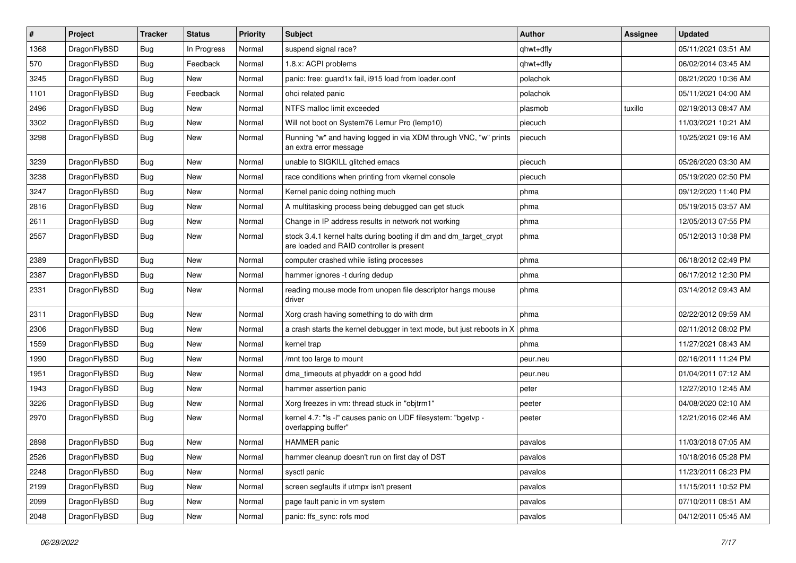| $\sharp$ | Project      | <b>Tracker</b> | <b>Status</b> | <b>Priority</b> | <b>Subject</b>                                                                                                 | <b>Author</b> | Assignee | <b>Updated</b>      |
|----------|--------------|----------------|---------------|-----------------|----------------------------------------------------------------------------------------------------------------|---------------|----------|---------------------|
| 1368     | DragonFlyBSD | <b>Bug</b>     | In Progress   | Normal          | suspend signal race?                                                                                           | qhwt+dfly     |          | 05/11/2021 03:51 AM |
| 570      | DragonFlyBSD | Bug            | Feedback      | Normal          | 1.8.x: ACPI problems                                                                                           | qhwt+dfly     |          | 06/02/2014 03:45 AM |
| 3245     | DragonFlyBSD | <b>Bug</b>     | New           | Normal          | panic: free: guard1x fail, i915 load from loader.conf                                                          | polachok      |          | 08/21/2020 10:36 AM |
| 1101     | DragonFlyBSD | <b>Bug</b>     | Feedback      | Normal          | ohci related panic                                                                                             | polachok      |          | 05/11/2021 04:00 AM |
| 2496     | DragonFlyBSD | Bug            | New           | Normal          | NTFS malloc limit exceeded                                                                                     | plasmob       | tuxillo  | 02/19/2013 08:47 AM |
| 3302     | DragonFlyBSD | <b>Bug</b>     | <b>New</b>    | Normal          | Will not boot on System76 Lemur Pro (lemp10)                                                                   | piecuch       |          | 11/03/2021 10:21 AM |
| 3298     | DragonFlyBSD | Bug            | New           | Normal          | Running "w" and having logged in via XDM through VNC, "w" prints<br>an extra error message                     | piecuch       |          | 10/25/2021 09:16 AM |
| 3239     | DragonFlyBSD | Bug            | <b>New</b>    | Normal          | unable to SIGKILL glitched emacs                                                                               | piecuch       |          | 05/26/2020 03:30 AM |
| 3238     | DragonFlyBSD | Bug            | <b>New</b>    | Normal          | race conditions when printing from vkernel console                                                             | piecuch       |          | 05/19/2020 02:50 PM |
| 3247     | DragonFlyBSD | Bug            | New           | Normal          | Kernel panic doing nothing much                                                                                | phma          |          | 09/12/2020 11:40 PM |
| 2816     | DragonFlyBSD | Bug            | New           | Normal          | A multitasking process being debugged can get stuck                                                            | phma          |          | 05/19/2015 03:57 AM |
| 2611     | DragonFlyBSD | <b>Bug</b>     | New           | Normal          | Change in IP address results in network not working                                                            | phma          |          | 12/05/2013 07:55 PM |
| 2557     | DragonFlyBSD | Bug            | <b>New</b>    | Normal          | stock 3.4.1 kernel halts during booting if dm and dm_target_crypt<br>are loaded and RAID controller is present | phma          |          | 05/12/2013 10:38 PM |
| 2389     | DragonFlyBSD | Bug            | <b>New</b>    | Normal          | computer crashed while listing processes                                                                       | phma          |          | 06/18/2012 02:49 PM |
| 2387     | DragonFlyBSD | <b>Bug</b>     | New           | Normal          | hammer ignores -t during dedup                                                                                 | phma          |          | 06/17/2012 12:30 PM |
| 2331     | DragonFlyBSD | Bug            | New           | Normal          | reading mouse mode from unopen file descriptor hangs mouse<br>driver                                           | phma          |          | 03/14/2012 09:43 AM |
| 2311     | DragonFlyBSD | Bug            | <b>New</b>    | Normal          | Xorg crash having something to do with drm                                                                     | phma          |          | 02/22/2012 09:59 AM |
| 2306     | DragonFlyBSD | Bug            | New           | Normal          | a crash starts the kernel debugger in text mode, but just reboots in X                                         | phma          |          | 02/11/2012 08:02 PM |
| 1559     | DragonFlyBSD | Bug            | <b>New</b>    | Normal          | kernel trap                                                                                                    | phma          |          | 11/27/2021 08:43 AM |
| 1990     | DragonFlyBSD | Bug            | <b>New</b>    | Normal          | /mnt too large to mount                                                                                        | peur.neu      |          | 02/16/2011 11:24 PM |
| 1951     | DragonFlyBSD | <b>Bug</b>     | <b>New</b>    | Normal          | dma_timeouts at phyaddr on a good hdd                                                                          | peur.neu      |          | 01/04/2011 07:12 AM |
| 1943     | DragonFlyBSD | <b>Bug</b>     | New           | Normal          | hammer assertion panic                                                                                         | peter         |          | 12/27/2010 12:45 AM |
| 3226     | DragonFlyBSD | Bug            | New           | Normal          | Xorg freezes in vm: thread stuck in "objtrm1"                                                                  | peeter        |          | 04/08/2020 02:10 AM |
| 2970     | DragonFlyBSD | <b>Bug</b>     | New           | Normal          | kernel 4.7: "Is -I" causes panic on UDF filesystem: "bgetyp -<br>overlapping buffer"                           | peeter        |          | 12/21/2016 02:46 AM |
| 2898     | DragonFlyBSD | Bug            | <b>New</b>    | Normal          | HAMMER panic                                                                                                   | pavalos       |          | 11/03/2018 07:05 AM |
| 2526     | DragonFlyBSD | <b>Bug</b>     | New           | Normal          | hammer cleanup doesn't run on first day of DST                                                                 | pavalos       |          | 10/18/2016 05:28 PM |
| 2248     | DragonFlyBSD | <b>Bug</b>     | New           | Normal          | sysctl panic                                                                                                   | pavalos       |          | 11/23/2011 06:23 PM |
| 2199     | DragonFlyBSD | <b>Bug</b>     | New           | Normal          | screen segfaults if utmpx isn't present                                                                        | pavalos       |          | 11/15/2011 10:52 PM |
| 2099     | DragonFlyBSD | <b>Bug</b>     | New           | Normal          | page fault panic in vm system                                                                                  | pavalos       |          | 07/10/2011 08:51 AM |
| 2048     | DragonFlyBSD | <b>Bug</b>     | New           | Normal          | panic: ffs_sync: rofs mod                                                                                      | pavalos       |          | 04/12/2011 05:45 AM |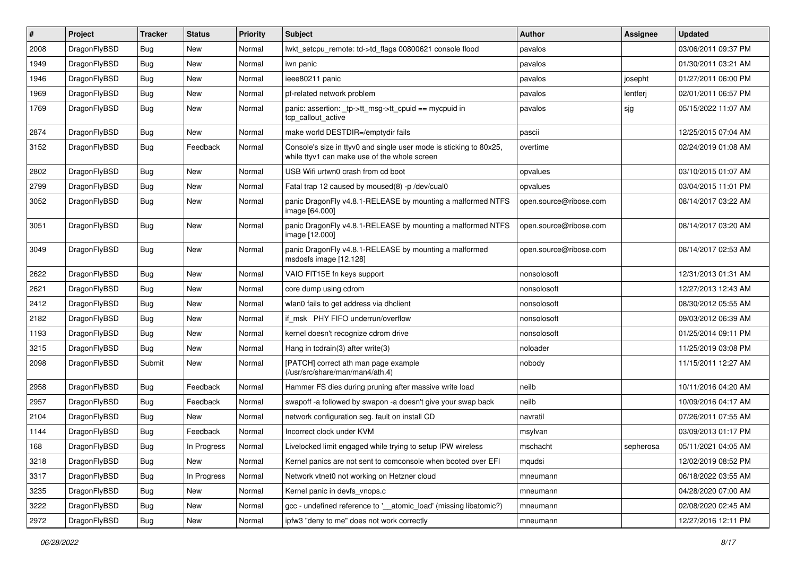| $\#$ | Project      | <b>Tracker</b> | <b>Status</b> | <b>Priority</b> | <b>Subject</b>                                                                                                     | <b>Author</b>          | Assignee  | <b>Updated</b>      |
|------|--------------|----------------|---------------|-----------------|--------------------------------------------------------------------------------------------------------------------|------------------------|-----------|---------------------|
| 2008 | DragonFlyBSD | <b>Bug</b>     | <b>New</b>    | Normal          | lwkt_setcpu_remote: td->td_flags 00800621 console flood                                                            | pavalos                |           | 03/06/2011 09:37 PM |
| 1949 | DragonFlyBSD | <b>Bug</b>     | <b>New</b>    | Normal          | iwn panic                                                                                                          | pavalos                |           | 01/30/2011 03:21 AM |
| 1946 | DragonFlyBSD | Bug            | New           | Normal          | ieee80211 panic                                                                                                    | pavalos                | josepht   | 01/27/2011 06:00 PM |
| 1969 | DragonFlyBSD | <b>Bug</b>     | <b>New</b>    | Normal          | pf-related network problem                                                                                         | pavalos                | lentferj  | 02/01/2011 06:57 PM |
| 1769 | DragonFlyBSD | Bug            | New           | Normal          | panic: assertion: _tp->tt_msg->tt_cpuid == mycpuid in<br>tcp callout active                                        | pavalos                | sjg       | 05/15/2022 11:07 AM |
| 2874 | DragonFlyBSD | Bug            | <b>New</b>    | Normal          | make world DESTDIR=/emptydir fails                                                                                 | pascii                 |           | 12/25/2015 07:04 AM |
| 3152 | DragonFlyBSD | <b>Bug</b>     | Feedback      | Normal          | Console's size in ttyv0 and single user mode is sticking to 80x25,<br>while ttyv1 can make use of the whole screen | overtime               |           | 02/24/2019 01:08 AM |
| 2802 | DragonFlyBSD | <b>Bug</b>     | <b>New</b>    | Normal          | USB Wifi urtwn0 crash from cd boot                                                                                 | opvalues               |           | 03/10/2015 01:07 AM |
| 2799 | DragonFlyBSD | <b>Bug</b>     | New           | Normal          | Fatal trap 12 caused by moused(8) -p/dev/cual0                                                                     | opvalues               |           | 03/04/2015 11:01 PM |
| 3052 | DragonFlyBSD | <b>Bug</b>     | New           | Normal          | panic DragonFly v4.8.1-RELEASE by mounting a malformed NTFS<br>image [64.000]                                      | open.source@ribose.com |           | 08/14/2017 03:22 AM |
| 3051 | DragonFlyBSD | <b>Bug</b>     | New           | Normal          | panic DragonFly v4.8.1-RELEASE by mounting a malformed NTFS<br>image [12.000]                                      | open.source@ribose.com |           | 08/14/2017 03:20 AM |
| 3049 | DragonFlyBSD | Bug            | New           | Normal          | panic DragonFly v4.8.1-RELEASE by mounting a malformed<br>msdosfs image [12.128]                                   | open.source@ribose.com |           | 08/14/2017 02:53 AM |
| 2622 | DragonFlyBSD | <b>Bug</b>     | <b>New</b>    | Normal          | VAIO FIT15E fn keys support                                                                                        | nonsolosoft            |           | 12/31/2013 01:31 AM |
| 2621 | DragonFlyBSD | <b>Bug</b>     | New           | Normal          | core dump using cdrom                                                                                              | nonsolosoft            |           | 12/27/2013 12:43 AM |
| 2412 | DragonFlyBSD | <b>Bug</b>     | New           | Normal          | wlan0 fails to get address via dhclient                                                                            | nonsolosoft            |           | 08/30/2012 05:55 AM |
| 2182 | DragonFlyBSD | Bug            | <b>New</b>    | Normal          | if msk PHY FIFO underrun/overflow                                                                                  | nonsolosoft            |           | 09/03/2012 06:39 AM |
| 1193 | DragonFlyBSD | <b>Bug</b>     | New           | Normal          | kernel doesn't recognize cdrom drive                                                                               | nonsolosoft            |           | 01/25/2014 09:11 PM |
| 3215 | DragonFlyBSD | <b>Bug</b>     | <b>New</b>    | Normal          | Hang in tcdrain(3) after write(3)                                                                                  | noloader               |           | 11/25/2019 03:08 PM |
| 2098 | DragonFlyBSD | Submit         | New           | Normal          | [PATCH] correct ath man page example<br>(/usr/src/share/man/man4/ath.4)                                            | nobody                 |           | 11/15/2011 12:27 AM |
| 2958 | DragonFlyBSD | <b>Bug</b>     | Feedback      | Normal          | Hammer FS dies during pruning after massive write load                                                             | neilb                  |           | 10/11/2016 04:20 AM |
| 2957 | DragonFlyBSD | <b>Bug</b>     | Feedback      | Normal          | swapoff-a followed by swapon-a doesn't give your swap back                                                         | neilb                  |           | 10/09/2016 04:17 AM |
| 2104 | DragonFlyBSD | <b>Bug</b>     | New           | Normal          | network configuration seg. fault on install CD                                                                     | navratil               |           | 07/26/2011 07:55 AM |
| 1144 | DragonFlyBSD | Bug            | Feedback      | Normal          | Incorrect clock under KVM                                                                                          | msylvan                |           | 03/09/2013 01:17 PM |
| 168  | DragonFlyBSD | Bug            | In Progress   | Normal          | Livelocked limit engaged while trying to setup IPW wireless                                                        | mschacht               | sepherosa | 05/11/2021 04:05 AM |
| 3218 | DragonFlyBSD | Bug            | New           | Normal          | Kernel panics are not sent to comconsole when booted over EFI                                                      | mqudsi                 |           | 12/02/2019 08:52 PM |
| 3317 | DragonFlyBSD | <b>Bug</b>     | In Progress   | Normal          | Network vtnet0 not working on Hetzner cloud                                                                        | mneumann               |           | 06/18/2022 03:55 AM |
| 3235 | DragonFlyBSD | <b>Bug</b>     | New           | Normal          | Kernel panic in devfs_vnops.c                                                                                      | mneumann               |           | 04/28/2020 07:00 AM |
| 3222 | DragonFlyBSD | Bug            | New           | Normal          | gcc - undefined reference to '_atomic_load' (missing libatomic?)                                                   | mneumann               |           | 02/08/2020 02:45 AM |
| 2972 | DragonFlyBSD | Bug            | New           | Normal          | ipfw3 "deny to me" does not work correctly                                                                         | mneumann               |           | 12/27/2016 12:11 PM |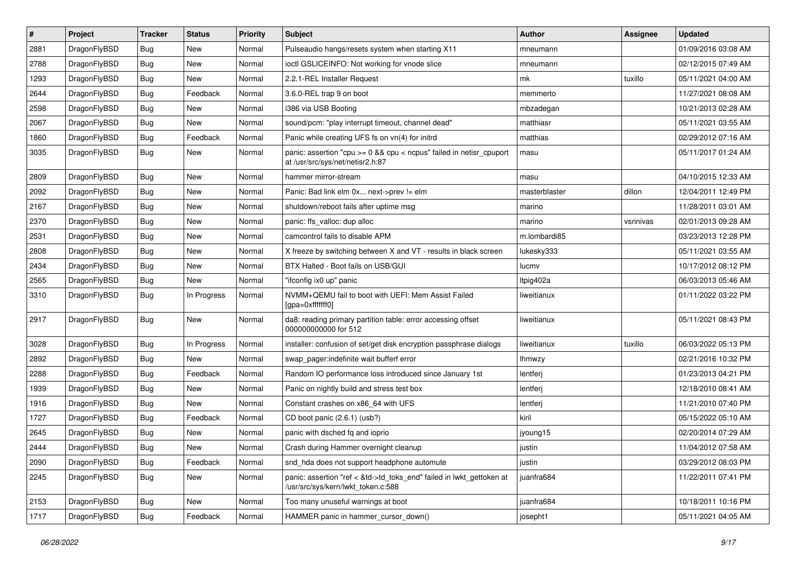| $\sharp$ | Project      | <b>Tracker</b> | <b>Status</b> | <b>Priority</b> | Subject                                                                                                    | <b>Author</b> | <b>Assignee</b> | <b>Updated</b>      |
|----------|--------------|----------------|---------------|-----------------|------------------------------------------------------------------------------------------------------------|---------------|-----------------|---------------------|
| 2881     | DragonFlyBSD | <b>Bug</b>     | New           | Normal          | Pulseaudio hangs/resets system when starting X11                                                           | mneumann      |                 | 01/09/2016 03:08 AM |
| 2788     | DragonFlyBSD | Bug            | <b>New</b>    | Normal          | ioctl GSLICEINFO: Not working for vnode slice                                                              | mneumann      |                 | 02/12/2015 07:49 AM |
| 1293     | DragonFlyBSD | <b>Bug</b>     | New           | Normal          | 2.2.1-REL Installer Request                                                                                | mk            | tuxillo         | 05/11/2021 04:00 AM |
| 2644     | DragonFlyBSD | <b>Bug</b>     | Feedback      | Normal          | 3.6.0-REL trap 9 on boot                                                                                   | memmerto      |                 | 11/27/2021 08:08 AM |
| 2598     | DragonFlyBSD | Bug            | <b>New</b>    | Normal          | i386 via USB Booting                                                                                       | mbzadegan     |                 | 10/21/2013 02:28 AM |
| 2067     | DragonFlyBSD | <b>Bug</b>     | <b>New</b>    | Normal          | sound/pcm: "play interrupt timeout, channel dead"                                                          | matthiasr     |                 | 05/11/2021 03:55 AM |
| 1860     | DragonFlyBSD | Bug            | Feedback      | Normal          | Panic while creating UFS fs on vn(4) for initrd                                                            | matthias      |                 | 02/29/2012 07:16 AM |
| 3035     | DragonFlyBSD | <b>Bug</b>     | New           | Normal          | panic: assertion "cpu >= 0 && cpu < ncpus" failed in netisr_cpuport<br>at /usr/src/sys/net/netisr2.h:87    | masu          |                 | 05/11/2017 01:24 AM |
| 2809     | DragonFlyBSD | Bug            | <b>New</b>    | Normal          | hammer mirror-stream                                                                                       | masu          |                 | 04/10/2015 12:33 AM |
| 2092     | DragonFlyBSD | <b>Bug</b>     | New           | Normal          | Panic: Bad link elm 0x next->prev != elm                                                                   | masterblaster | dillon          | 12/04/2011 12:49 PM |
| 2167     | DragonFlyBSD | <b>Bug</b>     | New           | Normal          | shutdown/reboot fails after uptime msg                                                                     | marino        |                 | 11/28/2011 03:01 AM |
| 2370     | DragonFlyBSD | <b>Bug</b>     | New           | Normal          | panic: ffs valloc: dup alloc                                                                               | marino        | vsrinivas       | 02/01/2013 09:28 AM |
| 2531     | DragonFlyBSD | <b>Bug</b>     | New           | Normal          | camcontrol fails to disable APM                                                                            | m.lombardi85  |                 | 03/23/2013 12:28 PM |
| 2808     | DragonFlyBSD | Bug            | New           | Normal          | X freeze by switching between X and VT - results in black screen                                           | lukesky333    |                 | 05/11/2021 03:55 AM |
| 2434     | DragonFlyBSD | <b>Bug</b>     | New           | Normal          | BTX Halted - Boot fails on USB/GUI                                                                         | lucmv         |                 | 10/17/2012 08:12 PM |
| 2565     | DragonFlyBSD | <b>Bug</b>     | New           | Normal          | "ifconfig ix0 up" panic                                                                                    | ltpig402a     |                 | 06/03/2013 05:46 AM |
| 3310     | DragonFlyBSD | Bug            | In Progress   | Normal          | NVMM+QEMU fail to boot with UEFI: Mem Assist Failed<br>[gpa=0xfffffff0]                                    | liweitianux   |                 | 01/11/2022 03:22 PM |
| 2917     | DragonFlyBSD | Bug            | New           | Normal          | da8: reading primary partition table: error accessing offset<br>000000000000 for 512                       | liweitianux   |                 | 05/11/2021 08:43 PM |
| 3028     | DragonFlyBSD | Bug            | In Progress   | Normal          | installer: confusion of set/get disk encryption passphrase dialogs                                         | liweitianux   | tuxillo         | 06/03/2022 05:13 PM |
| 2892     | DragonFlyBSD | Bug            | <b>New</b>    | Normal          | swap_pager:indefinite wait bufferf error                                                                   | <b>Ihmwzy</b> |                 | 02/21/2016 10:32 PM |
| 2288     | DragonFlyBSD | <b>Bug</b>     | Feedback      | Normal          | Random IO performance loss introduced since January 1st                                                    | lentferj      |                 | 01/23/2013 04:21 PM |
| 1939     | DragonFlyBSD | <b>Bug</b>     | New           | Normal          | Panic on nightly build and stress test box                                                                 | lentferj      |                 | 12/18/2010 08:41 AM |
| 1916     | DragonFlyBSD | <b>Bug</b>     | <b>New</b>    | Normal          | Constant crashes on x86 64 with UFS                                                                        | lentferj      |                 | 11/21/2010 07:40 PM |
| 1727     | DragonFlyBSD | <b>Bug</b>     | Feedback      | Normal          | CD boot panic (2.6.1) (usb?)                                                                               | kiril         |                 | 05/15/2022 05:10 AM |
| 2645     | DragonFlyBSD | <b>Bug</b>     | New           | Normal          | panic with dsched fq and ioprio                                                                            | jyoung15      |                 | 02/20/2014 07:29 AM |
| 2444     | DragonFlyBSD | Bug            | New           | Normal          | Crash during Hammer overnight cleanup                                                                      | justin        |                 | 11/04/2012 07:58 AM |
| 2090     | DragonFlyBSD | <b>Bug</b>     | Feedback      | Normal          | snd_hda does not support headphone automute                                                                | justin        |                 | 03/29/2012 08:03 PM |
| 2245     | DragonFlyBSD | <b>Bug</b>     | New           | Normal          | panic: assertion "ref < &td->td_toks_end" failed in lwkt_gettoken at<br>/usr/src/sys/kern/lwkt_token.c:588 | juanfra684    |                 | 11/22/2011 07:41 PM |
| 2153     | DragonFlyBSD | <b>Bug</b>     | New           | Normal          | Too many unuseful warnings at boot                                                                         | juanfra684    |                 | 10/18/2011 10:16 PM |
| 1717     | DragonFlyBSD | <b>Bug</b>     | Feedback      | Normal          | HAMMER panic in hammer_cursor_down()                                                                       | josepht1      |                 | 05/11/2021 04:05 AM |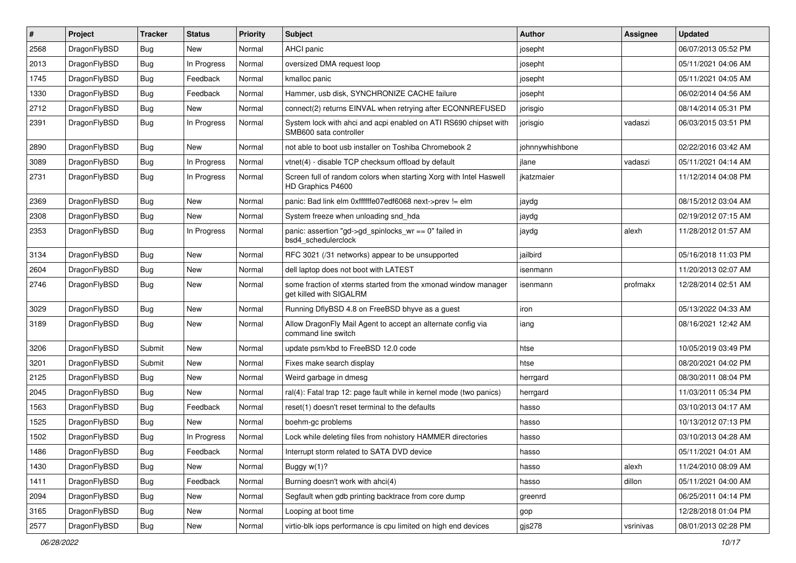| $\sharp$ | Project      | <b>Tracker</b> | <b>Status</b> | <b>Priority</b> | <b>Subject</b>                                                                             | Author          | Assignee  | <b>Updated</b>      |
|----------|--------------|----------------|---------------|-----------------|--------------------------------------------------------------------------------------------|-----------------|-----------|---------------------|
| 2568     | DragonFlyBSD | <b>Bug</b>     | New           | Normal          | AHCI panic                                                                                 | josepht         |           | 06/07/2013 05:52 PM |
| 2013     | DragonFlyBSD | <b>Bug</b>     | In Progress   | Normal          | oversized DMA request loop                                                                 | josepht         |           | 05/11/2021 04:06 AM |
| 1745     | DragonFlyBSD | <b>Bug</b>     | Feedback      | Normal          | kmalloc panic                                                                              | josepht         |           | 05/11/2021 04:05 AM |
| 1330     | DragonFlyBSD | <b>Bug</b>     | Feedback      | Normal          | Hammer, usb disk, SYNCHRONIZE CACHE failure                                                | josepht         |           | 06/02/2014 04:56 AM |
| 2712     | DragonFlyBSD | <b>Bug</b>     | New           | Normal          | connect(2) returns EINVAL when retrying after ECONNREFUSED                                 | jorisgio        |           | 08/14/2014 05:31 PM |
| 2391     | DragonFlyBSD | <b>Bug</b>     | In Progress   | Normal          | System lock with ahci and acpi enabled on ATI RS690 chipset with<br>SMB600 sata controller | jorisgio        | vadaszi   | 06/03/2015 03:51 PM |
| 2890     | DragonFlyBSD | <b>Bug</b>     | <b>New</b>    | Normal          | not able to boot usb installer on Toshiba Chromebook 2                                     | johnnywhishbone |           | 02/22/2016 03:42 AM |
| 3089     | DragonFlyBSD | <b>Bug</b>     | In Progress   | Normal          | vtnet(4) - disable TCP checksum offload by default                                         | jlane           | vadaszi   | 05/11/2021 04:14 AM |
| 2731     | DragonFlyBSD | <b>Bug</b>     | In Progress   | Normal          | Screen full of random colors when starting Xorg with Intel Haswell<br>HD Graphics P4600    | ikatzmaier      |           | 11/12/2014 04:08 PM |
| 2369     | DragonFlyBSD | <b>Bug</b>     | <b>New</b>    | Normal          | panic: Bad link elm 0xffffffe07edf6068 next->prev != elm                                   | jaydg           |           | 08/15/2012 03:04 AM |
| 2308     | DragonFlyBSD | <b>Bug</b>     | New           | Normal          | System freeze when unloading snd_hda                                                       | jaydg           |           | 02/19/2012 07:15 AM |
| 2353     | DragonFlyBSD | <b>Bug</b>     | In Progress   | Normal          | panic: assertion "gd->gd_spinlocks_wr == 0" failed in<br>bsd4_schedulerclock               | jaydg           | alexh     | 11/28/2012 01:57 AM |
| 3134     | DragonFlyBSD | Bug            | New           | Normal          | RFC 3021 (/31 networks) appear to be unsupported                                           | jailbird        |           | 05/16/2018 11:03 PM |
| 2604     | DragonFlyBSD | <b>Bug</b>     | New           | Normal          | dell laptop does not boot with LATEST                                                      | isenmann        |           | 11/20/2013 02:07 AM |
| 2746     | DragonFlyBSD | <b>Bug</b>     | New           | Normal          | some fraction of xterms started from the xmonad window manager<br>get killed with SIGALRM  | isenmann        | profmakx  | 12/28/2014 02:51 AM |
| 3029     | DragonFlyBSD | <b>Bug</b>     | New           | Normal          | Running DflyBSD 4.8 on FreeBSD bhyve as a guest                                            | iron            |           | 05/13/2022 04:33 AM |
| 3189     | DragonFlyBSD | <b>Bug</b>     | New           | Normal          | Allow DragonFly Mail Agent to accept an alternate config via<br>command line switch        | iang            |           | 08/16/2021 12:42 AM |
| 3206     | DragonFlyBSD | Submit         | <b>New</b>    | Normal          | update psm/kbd to FreeBSD 12.0 code                                                        | htse            |           | 10/05/2019 03:49 PM |
| 3201     | DragonFlyBSD | Submit         | New           | Normal          | Fixes make search display                                                                  | htse            |           | 08/20/2021 04:02 PM |
| 2125     | DragonFlyBSD | <b>Bug</b>     | New           | Normal          | Weird garbage in dmesg                                                                     | herrgard        |           | 08/30/2011 08:04 PM |
| 2045     | DragonFlyBSD | <b>Bug</b>     | <b>New</b>    | Normal          | ral(4): Fatal trap 12: page fault while in kernel mode (two panics)                        | herrgard        |           | 11/03/2011 05:34 PM |
| 1563     | DragonFlyBSD | Bug            | Feedback      | Normal          | reset(1) doesn't reset terminal to the defaults                                            | hasso           |           | 03/10/2013 04:17 AM |
| 1525     | DragonFlyBSD | Bug            | New           | Normal          | boehm-gc problems                                                                          | hasso           |           | 10/13/2012 07:13 PM |
| 1502     | DragonFlyBSD | Bug            | In Progress   | Normal          | Lock while deleting files from nohistory HAMMER directories                                | hasso           |           | 03/10/2013 04:28 AM |
| 1486     | DragonFlyBSD | <b>Bug</b>     | Feedback      | Normal          | Interrupt storm related to SATA DVD device                                                 | hasso           |           | 05/11/2021 04:01 AM |
| 1430     | DragonFlyBSD | <b>Bug</b>     | New           | Normal          | Buggy w(1)?                                                                                | hasso           | alexh     | 11/24/2010 08:09 AM |
| 1411     | DragonFlyBSD | <b>Bug</b>     | Feedback      | Normal          | Burning doesn't work with ahci(4)                                                          | hasso           | dillon    | 05/11/2021 04:00 AM |
| 2094     | DragonFlyBSD | <b>Bug</b>     | New           | Normal          | Segfault when gdb printing backtrace from core dump                                        | greenrd         |           | 06/25/2011 04:14 PM |
| 3165     | DragonFlyBSD | <b>Bug</b>     | <b>New</b>    | Normal          | Looping at boot time                                                                       | gop             |           | 12/28/2018 01:04 PM |
| 2577     | DragonFlyBSD | <b>Bug</b>     | New           | Normal          | virtio-blk iops performance is cpu limited on high end devices                             | gjs278          | vsrinivas | 08/01/2013 02:28 PM |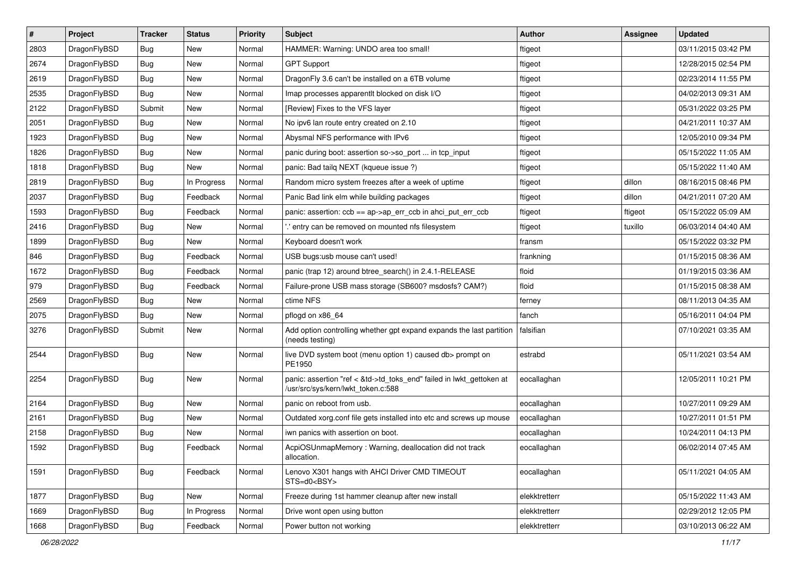| $\sharp$ | Project      | <b>Tracker</b> | <b>Status</b> | <b>Priority</b> | <b>Subject</b>                                                                                             | Author        | Assignee | <b>Updated</b>      |
|----------|--------------|----------------|---------------|-----------------|------------------------------------------------------------------------------------------------------------|---------------|----------|---------------------|
| 2803     | DragonFlyBSD | Bug            | New           | Normal          | HAMMER: Warning: UNDO area too small!                                                                      | ftigeot       |          | 03/11/2015 03:42 PM |
| 2674     | DragonFlyBSD | Bug            | <b>New</b>    | Normal          | <b>GPT Support</b>                                                                                         | ftigeot       |          | 12/28/2015 02:54 PM |
| 2619     | DragonFlyBSD | Bug            | <b>New</b>    | Normal          | Dragon Fly 3.6 can't be installed on a 6TB volume                                                          | ftigeot       |          | 02/23/2014 11:55 PM |
| 2535     | DragonFlyBSD | Bug            | New           | Normal          | Imap processes apparentlt blocked on disk I/O                                                              | ftigeot       |          | 04/02/2013 09:31 AM |
| 2122     | DragonFlyBSD | Submit         | New           | Normal          | [Review] Fixes to the VFS layer                                                                            | ftigeot       |          | 05/31/2022 03:25 PM |
| 2051     | DragonFlyBSD | Bug            | New           | Normal          | No ipv6 lan route entry created on 2.10                                                                    | ftigeot       |          | 04/21/2011 10:37 AM |
| 1923     | DragonFlyBSD | Bug            | New           | Normal          | Abysmal NFS performance with IPv6                                                                          | ftigeot       |          | 12/05/2010 09:34 PM |
| 1826     | DragonFlyBSD | Bug            | <b>New</b>    | Normal          | panic during boot: assertion so->so_port  in tcp_input                                                     | ftigeot       |          | 05/15/2022 11:05 AM |
| 1818     | DragonFlyBSD | Bug            | New           | Normal          | panic: Bad tailq NEXT (kqueue issue ?)                                                                     | ftigeot       |          | 05/15/2022 11:40 AM |
| 2819     | DragonFlyBSD | Bug            | In Progress   | Normal          | Random micro system freezes after a week of uptime                                                         | ftigeot       | dillon   | 08/16/2015 08:46 PM |
| 2037     | DragonFlyBSD | Bug            | Feedback      | Normal          | Panic Bad link elm while building packages                                                                 | ftigeot       | dillon   | 04/21/2011 07:20 AM |
| 1593     | DragonFlyBSD | <b>Bug</b>     | Feedback      | Normal          | panic: assertion: ccb == ap->ap_err_ccb in ahci_put_err_ccb                                                | ftigeot       | ftigeot  | 05/15/2022 05:09 AM |
| 2416     | DragonFlyBSD | Bug            | New           | Normal          | ".' entry can be removed on mounted nfs filesystem                                                         | ftigeot       | tuxillo  | 06/03/2014 04:40 AM |
| 1899     | DragonFlyBSD | Bug            | New           | Normal          | Keyboard doesn't work                                                                                      | fransm        |          | 05/15/2022 03:32 PM |
| 846      | DragonFlyBSD | <b>Bug</b>     | Feedback      | Normal          | USB bugs:usb mouse can't used!                                                                             | frankning     |          | 01/15/2015 08:36 AM |
| 1672     | DragonFlyBSD | <b>Bug</b>     | Feedback      | Normal          | panic (trap 12) around btree_search() in 2.4.1-RELEASE                                                     | floid         |          | 01/19/2015 03:36 AM |
| 979      | DragonFlyBSD | <b>Bug</b>     | Feedback      | Normal          | Failure-prone USB mass storage (SB600? msdosfs? CAM?)                                                      | floid         |          | 01/15/2015 08:38 AM |
| 2569     | DragonFlyBSD | <b>Bug</b>     | New           | Normal          | ctime NFS                                                                                                  | ferney        |          | 08/11/2013 04:35 AM |
| 2075     | DragonFlyBSD | <b>Bug</b>     | <b>New</b>    | Normal          | pflogd on x86 64                                                                                           | fanch         |          | 05/16/2011 04:04 PM |
| 3276     | DragonFlyBSD | Submit         | New           | Normal          | Add option controlling whether gpt expand expands the last partition<br>(needs testing)                    | falsifian     |          | 07/10/2021 03:35 AM |
| 2544     | DragonFlyBSD | <b>Bug</b>     | New           | Normal          | live DVD system boot (menu option 1) caused db> prompt on<br>PE1950                                        | estrabd       |          | 05/11/2021 03:54 AM |
| 2254     | DragonFlyBSD | <b>Bug</b>     | <b>New</b>    | Normal          | panic: assertion "ref < &td->td_toks_end" failed in lwkt_gettoken at<br>/usr/src/sys/kern/lwkt_token.c:588 | eocallaghan   |          | 12/05/2011 10:21 PM |
| 2164     | DragonFlyBSD | <b>Bug</b>     | <b>New</b>    | Normal          | panic on reboot from usb.                                                                                  | eocallaghan   |          | 10/27/2011 09:29 AM |
| 2161     | DragonFlyBSD | Bug            | New           | Normal          | Outdated xorg.conf file gets installed into etc and screws up mouse                                        | eocallaghan   |          | 10/27/2011 01:51 PM |
| 2158     | DragonFlyBSD | <b>Bug</b>     | New           | Normal          | iwn panics with assertion on boot.                                                                         | eocallaghan   |          | 10/24/2011 04:13 PM |
| 1592     | DragonFlyBSD | <b>Bug</b>     | Feedback      | Normal          | AcpiOSUnmapMemory: Warning, deallocation did not track<br>allocation.                                      | eocallaghan   |          | 06/02/2014 07:45 AM |
| 1591     | DragonFlyBSD | <b>Bug</b>     | Feedback      | Normal          | Lenovo X301 hangs with AHCI Driver CMD TIMEOUT<br>STS=d0 <bsy></bsy>                                       | eocallaghan   |          | 05/11/2021 04:05 AM |
| 1877     | DragonFlyBSD | <b>Bug</b>     | New           | Normal          | Freeze during 1st hammer cleanup after new install                                                         | elekktretterr |          | 05/15/2022 11:43 AM |
| 1669     | DragonFlyBSD | <b>Bug</b>     | In Progress   | Normal          | Drive wont open using button                                                                               | elekktretterr |          | 02/29/2012 12:05 PM |
| 1668     | DragonFlyBSD | <b>Bug</b>     | Feedback      | Normal          | Power button not working                                                                                   | elekktretterr |          | 03/10/2013 06:22 AM |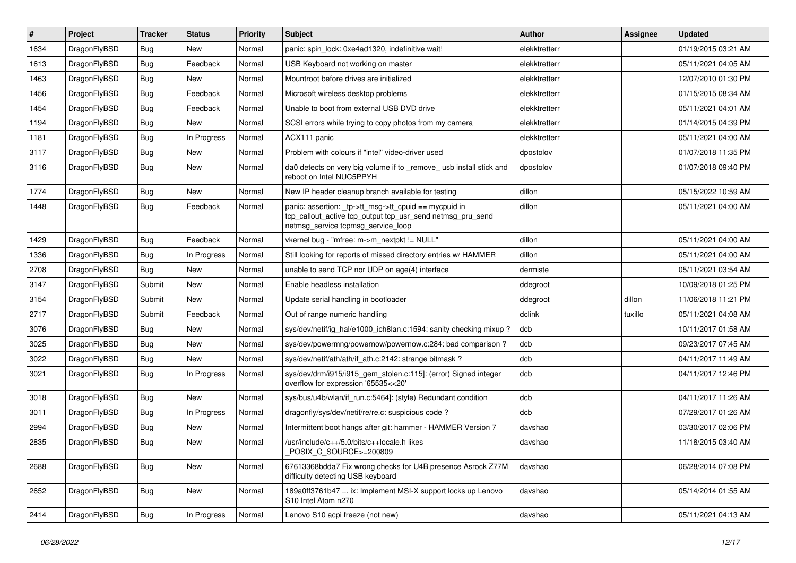| $\vert$ # | Project      | <b>Tracker</b> | <b>Status</b> | <b>Priority</b> | <b>Subject</b>                                                                                                                                            | <b>Author</b> | Assignee | <b>Updated</b>      |
|-----------|--------------|----------------|---------------|-----------------|-----------------------------------------------------------------------------------------------------------------------------------------------------------|---------------|----------|---------------------|
| 1634      | DragonFlyBSD | Bug            | <b>New</b>    | Normal          | panic: spin lock: 0xe4ad1320, indefinitive wait!                                                                                                          | elekktretterr |          | 01/19/2015 03:21 AM |
| 1613      | DragonFlyBSD | <b>Bug</b>     | Feedback      | Normal          | USB Keyboard not working on master                                                                                                                        | elekktretterr |          | 05/11/2021 04:05 AM |
| 1463      | DragonFlyBSD | <b>Bug</b>     | <b>New</b>    | Normal          | Mountroot before drives are initialized                                                                                                                   | elekktretterr |          | 12/07/2010 01:30 PM |
| 1456      | DragonFlyBSD | Bug            | Feedback      | Normal          | Microsoft wireless desktop problems                                                                                                                       | elekktretterr |          | 01/15/2015 08:34 AM |
| 1454      | DragonFlyBSD | <b>Bug</b>     | Feedback      | Normal          | Unable to boot from external USB DVD drive                                                                                                                | elekktretterr |          | 05/11/2021 04:01 AM |
| 1194      | DragonFlyBSD | <b>Bug</b>     | New           | Normal          | SCSI errors while trying to copy photos from my camera                                                                                                    | elekktretterr |          | 01/14/2015 04:39 PM |
| 1181      | DragonFlyBSD | Bug            | In Progress   | Normal          | ACX111 panic                                                                                                                                              | elekktretterr |          | 05/11/2021 04:00 AM |
| 3117      | DragonFlyBSD | <b>Bug</b>     | <b>New</b>    | Normal          | Problem with colours if "intel" video-driver used                                                                                                         | dpostolov     |          | 01/07/2018 11:35 PM |
| 3116      | DragonFlyBSD | Bug            | New           | Normal          | da0 detects on very big volume if to _remove_ usb install stick and<br>reboot on Intel NUC5PPYH                                                           | dpostolov     |          | 01/07/2018 09:40 PM |
| 1774      | DragonFlyBSD | <b>Bug</b>     | <b>New</b>    | Normal          | New IP header cleanup branch available for testing                                                                                                        | dillon        |          | 05/15/2022 10:59 AM |
| 1448      | DragonFlyBSD | Bug            | Feedback      | Normal          | panic: assertion: _tp->tt_msg->tt_cpuid == mycpuid in<br>tcp_callout_active tcp_output tcp_usr_send netmsg_pru_send<br>netmsg service tcpmsg service loop | dillon        |          | 05/11/2021 04:00 AM |
| 1429      | DragonFlyBSD | Bug            | Feedback      | Normal          | vkernel bug - "mfree: m->m_nextpkt != NULL"                                                                                                               | dillon        |          | 05/11/2021 04:00 AM |
| 1336      | DragonFlyBSD | <b>Bug</b>     | In Progress   | Normal          | Still looking for reports of missed directory entries w/ HAMMER                                                                                           | dillon        |          | 05/11/2021 04:00 AM |
| 2708      | DragonFlyBSD | Bug            | <b>New</b>    | Normal          | unable to send TCP nor UDP on age(4) interface                                                                                                            | dermiste      |          | 05/11/2021 03:54 AM |
| 3147      | DragonFlyBSD | Submit         | <b>New</b>    | Normal          | Enable headless installation                                                                                                                              | ddegroot      |          | 10/09/2018 01:25 PM |
| 3154      | DragonFlyBSD | Submit         | <b>New</b>    | Normal          | Update serial handling in bootloader                                                                                                                      | ddegroot      | dillon   | 11/06/2018 11:21 PM |
| 2717      | DragonFlyBSD | Submit         | Feedback      | Normal          | Out of range numeric handling                                                                                                                             | dclink        | tuxillo  | 05/11/2021 04:08 AM |
| 3076      | DragonFlyBSD | Bug            | <b>New</b>    | Normal          | sys/dev/netif/ig hal/e1000 ich8lan.c:1594: sanity checking mixup?                                                                                         | dcb           |          | 10/11/2017 01:58 AM |
| 3025      | DragonFlyBSD | Bug            | <b>New</b>    | Normal          | sys/dev/powermng/powernow/powernow.c:284: bad comparison?                                                                                                 | dcb           |          | 09/23/2017 07:45 AM |
| 3022      | DragonFlyBSD | <b>Bug</b>     | <b>New</b>    | Normal          | sys/dev/netif/ath/ath/if ath.c:2142: strange bitmask?                                                                                                     | dcb           |          | 04/11/2017 11:49 AM |
| 3021      | DragonFlyBSD | <b>Bug</b>     | In Progress   | Normal          | sys/dev/drm/i915/i915_gem_stolen.c:115]: (error) Signed integer<br>overflow for expression '65535<<20'                                                    | dcb           |          | 04/11/2017 12:46 PM |
| 3018      | DragonFlyBSD | <b>Bug</b>     | <b>New</b>    | Normal          | sys/bus/u4b/wlan/if_run.c:5464]: (style) Redundant condition                                                                                              | dcb           |          | 04/11/2017 11:26 AM |
| 3011      | DragonFlyBSD | <b>Bug</b>     | In Progress   | Normal          | dragonfly/sys/dev/netif/re/re.c: suspicious code?                                                                                                         | dcb           |          | 07/29/2017 01:26 AM |
| 2994      | DragonFlyBSD | Bug            | <b>New</b>    | Normal          | Intermittent boot hangs after git: hammer - HAMMER Version 7                                                                                              | davshao       |          | 03/30/2017 02:06 PM |
| 2835      | DragonFlyBSD | <b>Bug</b>     | <b>New</b>    | Normal          | /usr/include/c++/5.0/bits/c++locale.h likes<br>POSIX_C_SOURCE>=200809                                                                                     | davshao       |          | 11/18/2015 03:40 AM |
| 2688      | DragonFlyBSD | Bug            | New           | Normal          | 67613368bdda7 Fix wrong checks for U4B presence Asrock Z77M<br>difficulty detecting USB keyboard                                                          | davshao       |          | 06/28/2014 07:08 PM |
| 2652      | DragonFlyBSD | Bug            | New           | Normal          | 189a0ff3761b47  ix: Implement MSI-X support locks up Lenovo<br>S10 Intel Atom n270                                                                        | davshao       |          | 05/14/2014 01:55 AM |
| 2414      | DragonFlyBSD | <b>Bug</b>     | In Progress   | Normal          | Lenovo S10 acpi freeze (not new)                                                                                                                          | davshao       |          | 05/11/2021 04:13 AM |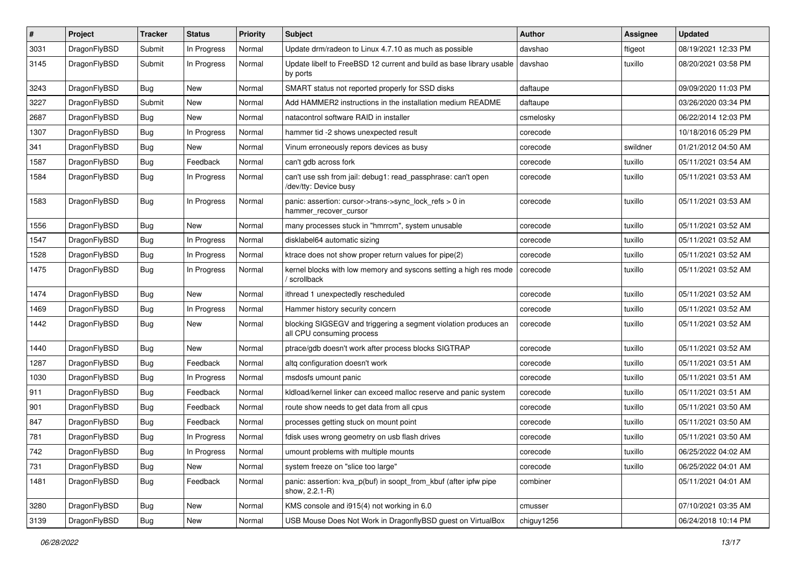| #    | Project      | <b>Tracker</b> | <b>Status</b> | Priority | <b>Subject</b>                                                                               | Author     | Assignee | <b>Updated</b>      |
|------|--------------|----------------|---------------|----------|----------------------------------------------------------------------------------------------|------------|----------|---------------------|
| 3031 | DragonFlyBSD | Submit         | In Progress   | Normal   | Update drm/radeon to Linux 4.7.10 as much as possible                                        | davshao    | ftigeot  | 08/19/2021 12:33 PM |
| 3145 | DragonFlyBSD | Submit         | In Progress   | Normal   | Update libelf to FreeBSD 12 current and build as base library usable<br>by ports             | davshao    | tuxillo  | 08/20/2021 03:58 PM |
| 3243 | DragonFlyBSD | Bug            | New           | Normal   | SMART status not reported properly for SSD disks                                             | daftaupe   |          | 09/09/2020 11:03 PM |
| 3227 | DragonFlyBSD | Submit         | New           | Normal   | Add HAMMER2 instructions in the installation medium README                                   | daftaupe   |          | 03/26/2020 03:34 PM |
| 2687 | DragonFlyBSD | Bug            | New           | Normal   | natacontrol software RAID in installer                                                       | csmelosky  |          | 06/22/2014 12:03 PM |
| 1307 | DragonFlyBSD | Bug            | In Progress   | Normal   | hammer tid -2 shows unexpected result                                                        | corecode   |          | 10/18/2016 05:29 PM |
| 341  | DragonFlyBSD | Bug            | New           | Normal   | Vinum erroneously repors devices as busy                                                     | corecode   | swildner | 01/21/2012 04:50 AM |
| 1587 | DragonFlyBSD | Bug            | Feedback      | Normal   | can't gdb across fork                                                                        | corecode   | tuxillo  | 05/11/2021 03:54 AM |
| 1584 | DragonFlyBSD | Bug            | In Progress   | Normal   | can't use ssh from jail: debug1: read passphrase: can't open<br>/dev/tty: Device busy        | corecode   | tuxillo  | 05/11/2021 03:53 AM |
| 1583 | DragonFlyBSD | Bug            | In Progress   | Normal   | panic: assertion: cursor->trans->sync_lock_refs > 0 in<br>hammer_recover_cursor              | corecode   | tuxillo  | 05/11/2021 03:53 AM |
| 1556 | DragonFlyBSD | Bug            | New           | Normal   | many processes stuck in "hmrrcm", system unusable                                            | corecode   | tuxillo  | 05/11/2021 03:52 AM |
| 1547 | DragonFlyBSD | Bug            | In Progress   | Normal   | disklabel64 automatic sizing                                                                 | corecode   | tuxillo  | 05/11/2021 03:52 AM |
| 1528 | DragonFlyBSD | Bug            | In Progress   | Normal   | ktrace does not show proper return values for pipe(2)                                        | corecode   | tuxillo  | 05/11/2021 03:52 AM |
| 1475 | DragonFlyBSD | Bug            | In Progress   | Normal   | kernel blocks with low memory and syscons setting a high res mode<br>/ scrollback            | corecode   | tuxillo  | 05/11/2021 03:52 AM |
| 1474 | DragonFlyBSD | Bug            | <b>New</b>    | Normal   | ithread 1 unexpectedly rescheduled                                                           | corecode   | tuxillo  | 05/11/2021 03:52 AM |
| 1469 | DragonFlyBSD | Bug            | In Progress   | Normal   | Hammer history security concern                                                              | corecode   | tuxillo  | 05/11/2021 03:52 AM |
| 1442 | DragonFlyBSD | Bug            | <b>New</b>    | Normal   | blocking SIGSEGV and triggering a segment violation produces an<br>all CPU consuming process | corecode   | tuxillo  | 05/11/2021 03:52 AM |
| 1440 | DragonFlyBSD | Bug            | <b>New</b>    | Normal   | ptrace/gdb doesn't work after process blocks SIGTRAP                                         | corecode   | tuxillo  | 05/11/2021 03:52 AM |
| 1287 | DragonFlyBSD | <b>Bug</b>     | Feedback      | Normal   | altg configuration doesn't work                                                              | corecode   | tuxillo  | 05/11/2021 03:51 AM |
| 1030 | DragonFlyBSD | <b>Bug</b>     | In Progress   | Normal   | msdosfs umount panic                                                                         | corecode   | tuxillo  | 05/11/2021 03:51 AM |
| 911  | DragonFlyBSD | <b>Bug</b>     | Feedback      | Normal   | kldload/kernel linker can exceed malloc reserve and panic system                             | corecode   | tuxillo  | 05/11/2021 03:51 AM |
| 901  | DragonFlyBSD | <b>Bug</b>     | Feedback      | Normal   | route show needs to get data from all cpus                                                   | corecode   | tuxillo  | 05/11/2021 03:50 AM |
| 847  | DragonFlyBSD | <b>Bug</b>     | Feedback      | Normal   | processes getting stuck on mount point                                                       | corecode   | tuxillo  | 05/11/2021 03:50 AM |
| 781  | DragonFlyBSD | <b>Bug</b>     | In Progress   | Normal   | fdisk uses wrong geometry on usb flash drives                                                | corecode   | tuxillo  | 05/11/2021 03:50 AM |
| 742  | DragonFlyBSD | <b>Bug</b>     | In Progress   | Normal   | umount problems with multiple mounts                                                         | corecode   | tuxillo  | 06/25/2022 04:02 AM |
| 731  | DragonFlyBSD | <b>Bug</b>     | New           | Normal   | system freeze on "slice too large"                                                           | corecode   | tuxillo  | 06/25/2022 04:01 AM |
| 1481 | DragonFlyBSD | <b>Bug</b>     | Feedback      | Normal   | panic: assertion: kva_p(buf) in soopt_from_kbuf (after ipfw pipe<br>show, 2.2.1-R)           | combiner   |          | 05/11/2021 04:01 AM |
| 3280 | DragonFlyBSD | <b>Bug</b>     | <b>New</b>    | Normal   | KMS console and i915(4) not working in 6.0                                                   | cmusser    |          | 07/10/2021 03:35 AM |
| 3139 | DragonFlyBSD | <b>Bug</b>     | New           | Normal   | USB Mouse Does Not Work in DragonflyBSD guest on VirtualBox                                  | chiguy1256 |          | 06/24/2018 10:14 PM |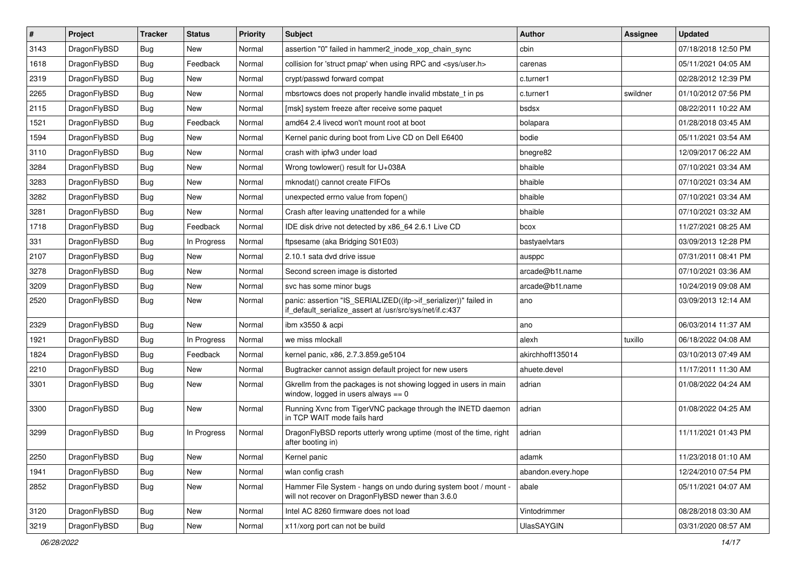| $\sharp$ | Project      | <b>Tracker</b> | <b>Status</b> | <b>Priority</b> | Subject                                                                                                                      | Author             | <b>Assignee</b> | <b>Updated</b>      |
|----------|--------------|----------------|---------------|-----------------|------------------------------------------------------------------------------------------------------------------------------|--------------------|-----------------|---------------------|
| 3143     | DragonFlyBSD | <b>Bug</b>     | New           | Normal          | assertion "0" failed in hammer2 inode xop chain sync                                                                         | cbin               |                 | 07/18/2018 12:50 PM |
| 1618     | DragonFlyBSD | <b>Bug</b>     | Feedback      | Normal          | collision for 'struct pmap' when using RPC and <sys user.h=""></sys>                                                         | carenas            |                 | 05/11/2021 04:05 AM |
| 2319     | DragonFlyBSD | <b>Bug</b>     | New           | Normal          | crypt/passwd forward compat                                                                                                  | c.turner1          |                 | 02/28/2012 12:39 PM |
| 2265     | DragonFlyBSD | <b>Bug</b>     | New           | Normal          | mbsrtowcs does not properly handle invalid mbstate_t in ps                                                                   | c.turner1          | swildner        | 01/10/2012 07:56 PM |
| 2115     | DragonFlyBSD | <b>Bug</b>     | <b>New</b>    | Normal          | [msk] system freeze after receive some paquet                                                                                | bsdsx              |                 | 08/22/2011 10:22 AM |
| 1521     | DragonFlyBSD | <b>Bug</b>     | Feedback      | Normal          | amd64 2.4 livecd won't mount root at boot                                                                                    | bolapara           |                 | 01/28/2018 03:45 AM |
| 1594     | DragonFlyBSD | <b>Bug</b>     | New           | Normal          | Kernel panic during boot from Live CD on Dell E6400                                                                          | bodie              |                 | 05/11/2021 03:54 AM |
| 3110     | DragonFlyBSD | <b>Bug</b>     | <b>New</b>    | Normal          | crash with ipfw3 under load                                                                                                  | bnegre82           |                 | 12/09/2017 06:22 AM |
| 3284     | DragonFlyBSD | <b>Bug</b>     | New           | Normal          | Wrong towlower() result for U+038A                                                                                           | bhaible            |                 | 07/10/2021 03:34 AM |
| 3283     | DragonFlyBSD | <b>Bug</b>     | <b>New</b>    | Normal          | mknodat() cannot create FIFOs                                                                                                | bhaible            |                 | 07/10/2021 03:34 AM |
| 3282     | DragonFlyBSD | <b>Bug</b>     | New           | Normal          | unexpected errno value from fopen()                                                                                          | bhaible            |                 | 07/10/2021 03:34 AM |
| 3281     | DragonFlyBSD | <b>Bug</b>     | New           | Normal          | Crash after leaving unattended for a while                                                                                   | bhaible            |                 | 07/10/2021 03:32 AM |
| 1718     | DragonFlyBSD | <b>Bug</b>     | Feedback      | Normal          | IDE disk drive not detected by x86 64 2.6.1 Live CD                                                                          | bcox               |                 | 11/27/2021 08:25 AM |
| 331      | DragonFlyBSD | Bug            | In Progress   | Normal          | ftpsesame (aka Bridging S01E03)                                                                                              | bastyaelvtars      |                 | 03/09/2013 12:28 PM |
| 2107     | DragonFlyBSD | Bug            | <b>New</b>    | Normal          | 2.10.1 sata dvd drive issue                                                                                                  | ausppc             |                 | 07/31/2011 08:41 PM |
| 3278     | DragonFlyBSD | <b>Bug</b>     | <b>New</b>    | Normal          | Second screen image is distorted                                                                                             | arcade@b1t.name    |                 | 07/10/2021 03:36 AM |
| 3209     | DragonFlyBSD | <b>Bug</b>     | New           | Normal          | svc has some minor bugs                                                                                                      | arcade@b1t.name    |                 | 10/24/2019 09:08 AM |
| 2520     | DragonFlyBSD | Bug            | <b>New</b>    | Normal          | panic: assertion "IS_SERIALIZED((ifp->if_serializer))" failed in<br>if default serialize assert at /usr/src/sys/net/if.c:437 | ano                |                 | 03/09/2013 12:14 AM |
| 2329     | DragonFlyBSD | Bug            | <b>New</b>    | Normal          | ibm x3550 & acpi                                                                                                             | ano                |                 | 06/03/2014 11:37 AM |
| 1921     | DragonFlyBSD | Bug            | In Progress   | Normal          | we miss mlockall                                                                                                             | alexh              | tuxillo         | 06/18/2022 04:08 AM |
| 1824     | DragonFlyBSD | Bug            | Feedback      | Normal          | kernel panic, x86, 2.7.3.859.ge5104                                                                                          | akirchhoff135014   |                 | 03/10/2013 07:49 AM |
| 2210     | DragonFlyBSD | <b>Bug</b>     | New           | Normal          | Bugtracker cannot assign default project for new users                                                                       | ahuete.devel       |                 | 11/17/2011 11:30 AM |
| 3301     | DragonFlyBSD | <b>Bug</b>     | New           | Normal          | Gkrellm from the packages is not showing logged in users in main<br>window, logged in users always $== 0$                    | adrian             |                 | 01/08/2022 04:24 AM |
| 3300     | DragonFlyBSD | <b>Bug</b>     | New           | Normal          | Running Xvnc from TigerVNC package through the INETD daemon<br>in TCP WAIT mode fails hard                                   | adrian             |                 | 01/08/2022 04:25 AM |
| 3299     | DragonFlyBSD | Bug            | In Progress   | Normal          | DragonFlyBSD reports utterly wrong uptime (most of the time, right<br>after booting in)                                      | adrian             |                 | 11/11/2021 01:43 PM |
| 2250     | DragonFlyBSD | <b>Bug</b>     | New           | Normal          | Kernel panic                                                                                                                 | adamk              |                 | 11/23/2018 01:10 AM |
| 1941     | DragonFlyBSD | <b>Bug</b>     | New           | Normal          | wlan config crash                                                                                                            | abandon.every.hope |                 | 12/24/2010 07:54 PM |
| 2852     | DragonFlyBSD | <b>Bug</b>     | New           | Normal          | Hammer File System - hangs on undo during system boot / mount -<br>will not recover on DragonFlyBSD newer than 3.6.0         | abale              |                 | 05/11/2021 04:07 AM |
| 3120     | DragonFlyBSD | <b>Bug</b>     | New           | Normal          | Intel AC 8260 firmware does not load                                                                                         | Vintodrimmer       |                 | 08/28/2018 03:30 AM |
| 3219     | DragonFlyBSD | Bug            | New           | Normal          | x11/xorg port can not be build                                                                                               | <b>UlasSAYGIN</b>  |                 | 03/31/2020 08:57 AM |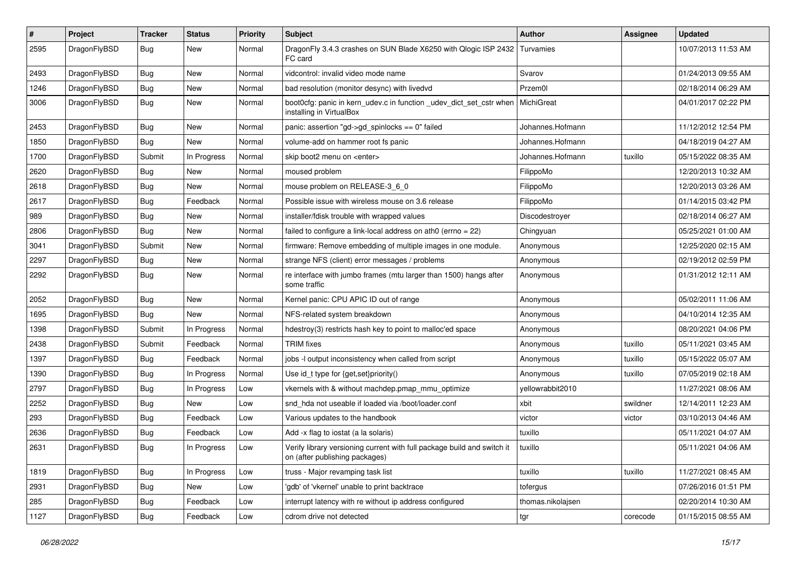| $\pmb{\#}$ | Project      | <b>Tracker</b> | <b>Status</b> | <b>Priority</b> | <b>Subject</b>                                                                                            | <b>Author</b>     | <b>Assignee</b> | <b>Updated</b>      |
|------------|--------------|----------------|---------------|-----------------|-----------------------------------------------------------------------------------------------------------|-------------------|-----------------|---------------------|
| 2595       | DragonFlyBSD | Bug            | New           | Normal          | DragonFly 3.4.3 crashes on SUN Blade X6250 with Qlogic ISP 2432<br>FC card                                | Turvamies         |                 | 10/07/2013 11:53 AM |
| 2493       | DragonFlyBSD | <b>Bug</b>     | New           | Normal          | vidcontrol: invalid video mode name                                                                       | Svarov            |                 | 01/24/2013 09:55 AM |
| 1246       | DragonFlyBSD | Bug            | New           | Normal          | bad resolution (monitor desync) with livedvd                                                              | Przem0l           |                 | 02/18/2014 06:29 AM |
| 3006       | DragonFlyBSD | Bug            | New           | Normal          | boot0cfg: panic in kern_udev.c in function _udev_dict_set_cstr when<br>installing in VirtualBox           | MichiGreat        |                 | 04/01/2017 02:22 PM |
| 2453       | DragonFlyBSD | <b>Bug</b>     | <b>New</b>    | Normal          | panic: assertion "gd->gd_spinlocks == 0" failed                                                           | Johannes.Hofmann  |                 | 11/12/2012 12:54 PM |
| 1850       | DragonFlyBSD | Bug            | New           | Normal          | volume-add on hammer root fs panic                                                                        | Johannes.Hofmann  |                 | 04/18/2019 04:27 AM |
| 1700       | DragonFlyBSD | Submit         | In Progress   | Normal          | skip boot2 menu on <enter></enter>                                                                        | Johannes.Hofmann  | tuxillo         | 05/15/2022 08:35 AM |
| 2620       | DragonFlyBSD | Bug            | New           | Normal          | moused problem                                                                                            | FilippoMo         |                 | 12/20/2013 10:32 AM |
| 2618       | DragonFlyBSD | Bug            | New           | Normal          | mouse problem on RELEASE-3_6_0                                                                            | FilippoMo         |                 | 12/20/2013 03:26 AM |
| 2617       | DragonFlyBSD | Bug            | Feedback      | Normal          | Possible issue with wireless mouse on 3.6 release                                                         | FilippoMo         |                 | 01/14/2015 03:42 PM |
| 989        | DragonFlyBSD | Bug            | New           | Normal          | installer/fdisk trouble with wrapped values                                                               | Discodestroyer    |                 | 02/18/2014 06:27 AM |
| 2806       | DragonFlyBSD | <b>Bug</b>     | New           | Normal          | failed to configure a link-local address on ath0 (errno = 22)                                             | Chingyuan         |                 | 05/25/2021 01:00 AM |
| 3041       | DragonFlyBSD | Submit         | <b>New</b>    | Normal          | firmware: Remove embedding of multiple images in one module.                                              | Anonymous         |                 | 12/25/2020 02:15 AM |
| 2297       | DragonFlyBSD | Bug            | New           | Normal          | strange NFS (client) error messages / problems                                                            | Anonymous         |                 | 02/19/2012 02:59 PM |
| 2292       | DragonFlyBSD | Bug            | <b>New</b>    | Normal          | re interface with jumbo frames (mtu larger than 1500) hangs after<br>some traffic                         | Anonymous         |                 | 01/31/2012 12:11 AM |
| 2052       | DragonFlyBSD | <b>Bug</b>     | New           | Normal          | Kernel panic: CPU APIC ID out of range                                                                    | Anonymous         |                 | 05/02/2011 11:06 AM |
| 1695       | DragonFlyBSD | Bug            | <b>New</b>    | Normal          | NFS-related system breakdown                                                                              | Anonymous         |                 | 04/10/2014 12:35 AM |
| 1398       | DragonFlyBSD | Submit         | In Progress   | Normal          | hdestroy(3) restricts hash key to point to malloc'ed space                                                | Anonymous         |                 | 08/20/2021 04:06 PM |
| 2438       | DragonFlyBSD | Submit         | Feedback      | Normal          | <b>TRIM</b> fixes                                                                                         | Anonymous         | tuxillo         | 05/11/2021 03:45 AM |
| 1397       | DragonFlyBSD | Bug            | Feedback      | Normal          | jobs -I output inconsistency when called from script                                                      | Anonymous         | tuxillo         | 05/15/2022 05:07 AM |
| 1390       | DragonFlyBSD | Bug            | In Progress   | Normal          | Use id_t type for {get,set}priority()                                                                     | Anonymous         | tuxillo         | 07/05/2019 02:18 AM |
| 2797       | DragonFlyBSD | Bug            | In Progress   | Low             | vkernels with & without machdep.pmap_mmu_optimize                                                         | yellowrabbit2010  |                 | 11/27/2021 08:06 AM |
| 2252       | DragonFlyBSD | <b>Bug</b>     | New           | Low             | snd hda not useable if loaded via /boot/loader.conf                                                       | xbit              | swildner        | 12/14/2011 12:23 AM |
| 293        | DragonFlyBSD | <b>Bug</b>     | Feedback      | Low             | Various updates to the handbook                                                                           | victor            | victor          | 03/10/2013 04:46 AM |
| 2636       | DragonFlyBSD | Bug            | Feedback      | Low             | Add -x flag to iostat (a la solaris)                                                                      | tuxillo           |                 | 05/11/2021 04:07 AM |
| 2631       | DragonFlyBSD | Bug            | In Progress   | Low             | Verify library versioning current with full package build and switch it<br>on (after publishing packages) | tuxillo           |                 | 05/11/2021 04:06 AM |
| 1819       | DragonFlyBSD | <b>Bug</b>     | In Progress   | Low             | truss - Major revamping task list                                                                         | tuxillo           | tuxillo         | 11/27/2021 08:45 AM |
| 2931       | DragonFlyBSD | <b>Bug</b>     | New           | Low             | 'gdb' of 'vkernel' unable to print backtrace                                                              | tofergus          |                 | 07/26/2016 01:51 PM |
| 285        | DragonFlyBSD | <b>Bug</b>     | Feedback      | Low             | interrupt latency with re without ip address configured                                                   | thomas.nikolajsen |                 | 02/20/2014 10:30 AM |
| 1127       | DragonFlyBSD | <b>Bug</b>     | Feedback      | Low             | cdrom drive not detected                                                                                  | tgr               | corecode        | 01/15/2015 08:55 AM |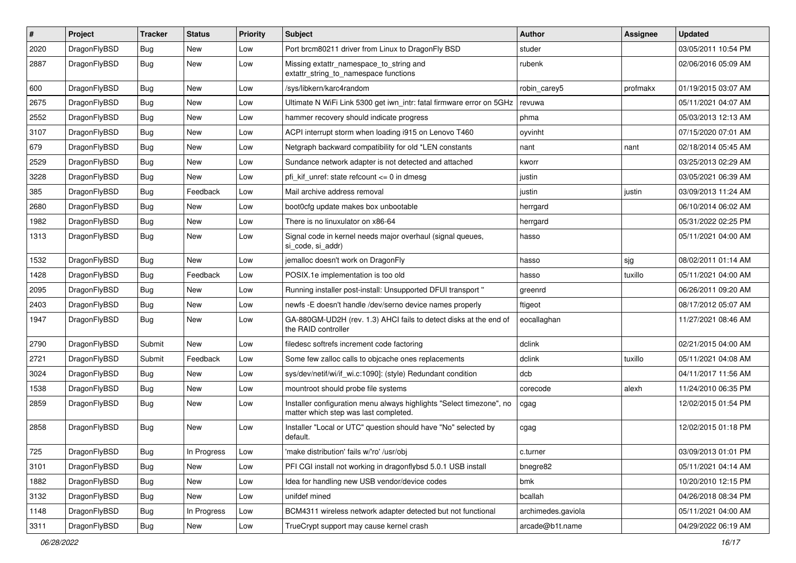| #    | Project      | <b>Tracker</b> | <b>Status</b> | <b>Priority</b> | Subject                                                                                                       | Author             | Assignee | <b>Updated</b>      |
|------|--------------|----------------|---------------|-----------------|---------------------------------------------------------------------------------------------------------------|--------------------|----------|---------------------|
| 2020 | DragonFlyBSD | <b>Bug</b>     | New           | Low             | Port brcm80211 driver from Linux to DragonFly BSD                                                             | studer             |          | 03/05/2011 10:54 PM |
| 2887 | DragonFlyBSD | Bug            | New           | Low             | Missing extattr_namespace_to_string and<br>extattr_string_to_namespace functions                              | rubenk             |          | 02/06/2016 05:09 AM |
| 600  | DragonFlyBSD | Bug            | New           | Low             | /sys/libkern/karc4random                                                                                      | robin carey5       | profmakx | 01/19/2015 03:07 AM |
| 2675 | DragonFlyBSD | Bug            | New           | Low             | Ultimate N WiFi Link 5300 get iwn_intr: fatal firmware error on 5GHz                                          | revuwa             |          | 05/11/2021 04:07 AM |
| 2552 | DragonFlyBSD | <b>Bug</b>     | New           | Low             | hammer recovery should indicate progress                                                                      | phma               |          | 05/03/2013 12:13 AM |
| 3107 | DragonFlyBSD | <b>Bug</b>     | New           | Low             | ACPI interrupt storm when loading i915 on Lenovo T460                                                         | oyvinht            |          | 07/15/2020 07:01 AM |
| 679  | DragonFlyBSD | <b>Bug</b>     | New           | Low             | Netgraph backward compatibility for old *LEN constants                                                        | nant               | nant     | 02/18/2014 05:45 AM |
| 2529 | DragonFlyBSD | <b>Bug</b>     | New           | Low             | Sundance network adapter is not detected and attached                                                         | kworr              |          | 03/25/2013 02:29 AM |
| 3228 | DragonFlyBSD | Bug            | <b>New</b>    | Low             | pfi kif unref: state refcount $\leq$ 0 in dmesg                                                               | justin             |          | 03/05/2021 06:39 AM |
| 385  | DragonFlyBSD | <b>Bug</b>     | Feedback      | Low             | Mail archive address removal                                                                                  | justin             | justin   | 03/09/2013 11:24 AM |
| 2680 | DragonFlyBSD | <b>Bug</b>     | New           | Low             | boot0cfg update makes box unbootable                                                                          | herrgard           |          | 06/10/2014 06:02 AM |
| 1982 | DragonFlyBSD | <b>Bug</b>     | New           | Low             | There is no linuxulator on x86-64                                                                             | herrgard           |          | 05/31/2022 02:25 PM |
| 1313 | DragonFlyBSD | <b>Bug</b>     | New           | Low             | Signal code in kernel needs major overhaul (signal queues,<br>si code, si addr)                               | hasso              |          | 05/11/2021 04:00 AM |
| 1532 | DragonFlyBSD | Bug            | New           | Low             | jemalloc doesn't work on DragonFly                                                                            | hasso              | ∣sjg     | 08/02/2011 01:14 AM |
| 1428 | DragonFlyBSD | <b>Bug</b>     | Feedback      | Low             | POSIX.1e implementation is too old                                                                            | hasso              | tuxillo  | 05/11/2021 04:00 AM |
| 2095 | DragonFlyBSD | Bug            | New           | Low             | Running installer post-install: Unsupported DFUI transport "                                                  | greenrd            |          | 06/26/2011 09:20 AM |
| 2403 | DragonFlyBSD | <b>Bug</b>     | New           | Low             | newfs -E doesn't handle /dev/serno device names properly                                                      | ftigeot            |          | 08/17/2012 05:07 AM |
| 1947 | DragonFlyBSD | <b>Bug</b>     | <b>New</b>    | Low             | GA-880GM-UD2H (rev. 1.3) AHCI fails to detect disks at the end of<br>the RAID controller                      | eocallaghan        |          | 11/27/2021 08:46 AM |
| 2790 | DragonFlyBSD | Submit         | New           | Low             | filedesc softrefs increment code factoring                                                                    | dclink             |          | 02/21/2015 04:00 AM |
| 2721 | DragonFlyBSD | Submit         | Feedback      | Low             | Some few zalloc calls to objcache ones replacements                                                           | dclink             | tuxillo  | 05/11/2021 04:08 AM |
| 3024 | DragonFlyBSD | <b>Bug</b>     | New           | Low             | sys/dev/netif/wi/if_wi.c:1090]: (style) Redundant condition                                                   | dcb                |          | 04/11/2017 11:56 AM |
| 1538 | DragonFlyBSD | <b>Bug</b>     | New           | Low             | mountroot should probe file systems                                                                           | corecode           | alexh    | 11/24/2010 06:35 PM |
| 2859 | DragonFlyBSD | Bug            | New           | Low             | Installer configuration menu always highlights "Select timezone", no<br>matter which step was last completed. | cgag               |          | 12/02/2015 01:54 PM |
| 2858 | DragonFlyBSD | Bug            | New           | Low             | Installer "Local or UTC" question should have "No" selected by<br>default.                                    | cgag               |          | 12/02/2015 01:18 PM |
| 725  | DragonFlyBSD | <b>Bug</b>     | In Progress   | Low             | 'make distribution' fails w/'ro' /usr/obj                                                                     | c.turner           |          | 03/09/2013 01:01 PM |
| 3101 | DragonFlyBSD | <b>Bug</b>     | New           | Low             | PFI CGI install not working in dragonflybsd 5.0.1 USB install                                                 | bnegre82           |          | 05/11/2021 04:14 AM |
| 1882 | DragonFlyBSD | <b>Bug</b>     | New           | Low             | Idea for handling new USB vendor/device codes                                                                 | bmk                |          | 10/20/2010 12:15 PM |
| 3132 | DragonFlyBSD | <b>Bug</b>     | New           | Low             | unifdef mined                                                                                                 | bcallah            |          | 04/26/2018 08:34 PM |
| 1148 | DragonFlyBSD | <b>Bug</b>     | In Progress   | Low             | BCM4311 wireless network adapter detected but not functional                                                  | archimedes.gaviola |          | 05/11/2021 04:00 AM |
| 3311 | DragonFlyBSD | Bug            | New           | Low             | TrueCrypt support may cause kernel crash                                                                      | arcade@b1t.name    |          | 04/29/2022 06:19 AM |